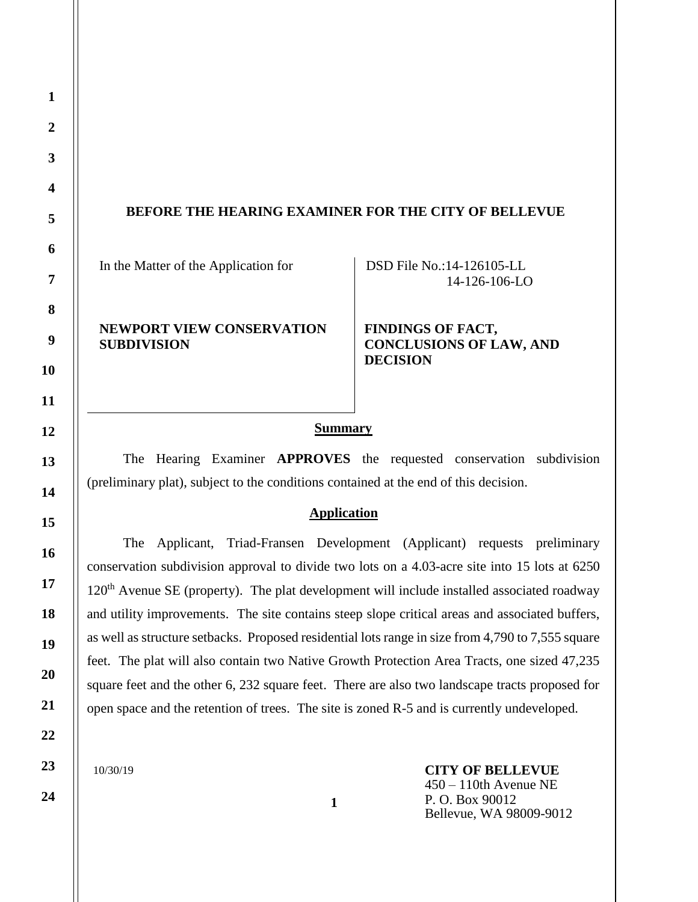## **BEFORE THE HEARING EXAMINER FOR THE CITY OF BELLEVUE**

In the Matter of the Application for

DSD File No.:14-126105-LL 14-126-106-LO

## **NEWPORT VIEW CONSERVATION SUBDIVISION**

**FINDINGS OF FACT, CONCLUSIONS OF LAW, AND DECISION**

#### **Summary**

The Hearing Examiner **APPROVES** the requested conservation subdivision (preliminary plat), subject to the conditions contained at the end of this decision.

### **Application**

The Applicant, Triad-Fransen Development (Applicant) requests preliminary conservation subdivision approval to divide two lots on a 4.03-acre site into 15 lots at 6250  $120<sup>th</sup>$  Avenue SE (property). The plat development will include installed associated roadway and utility improvements. The site contains steep slope critical areas and associated buffers, as well as structure setbacks. Proposed residential lots range in size from 4,790 to 7,555 square feet. The plat will also contain two Native Growth Protection Area Tracts, one sized 47,235 square feet and the other 6, 232 square feet. There are also two landscape tracts proposed for open space and the retention of trees. The site is zoned R-5 and is currently undeveloped.

**1**

10/30/19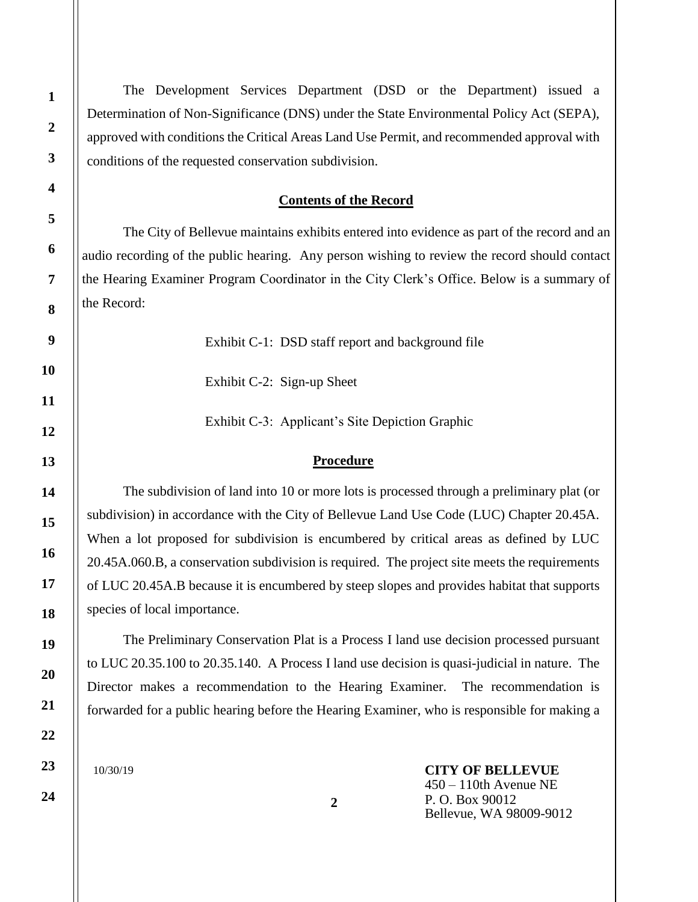The Development Services Department (DSD or the Department) issued a Determination of Non-Significance (DNS) under the State Environmental Policy Act (SEPA), approved with conditions the Critical Areas Land Use Permit, and recommended approval with conditions of the requested conservation subdivision.

#### **Contents of the Record**

The City of Bellevue maintains exhibits entered into evidence as part of the record and an audio recording of the public hearing. Any person wishing to review the record should contact the Hearing Examiner Program Coordinator in the City Clerk's Office. Below is a summary of the Record:

Exhibit C-1: DSD staff report and background file

Exhibit C-2: Sign-up Sheet

Exhibit C-3: Applicant's Site Depiction Graphic

#### **Procedure**

The subdivision of land into 10 or more lots is processed through a preliminary plat (or subdivision) in accordance with the City of Bellevue Land Use Code (LUC) Chapter 20.45A. When a lot proposed for subdivision is encumbered by critical areas as defined by LUC 20.45A.060.B, a conservation subdivision is required. The project site meets the requirements of LUC 20.45A.B because it is encumbered by steep slopes and provides habitat that supports species of local importance.

The Preliminary Conservation Plat is a Process I land use decision processed pursuant to LUC 20.35.100 to 20.35.140. A Process I land use decision is quasi-judicial in nature. The Director makes a recommendation to the Hearing Examiner. The recommendation is forwarded for a public hearing before the Hearing Examiner, who is responsible for making a

10/30/19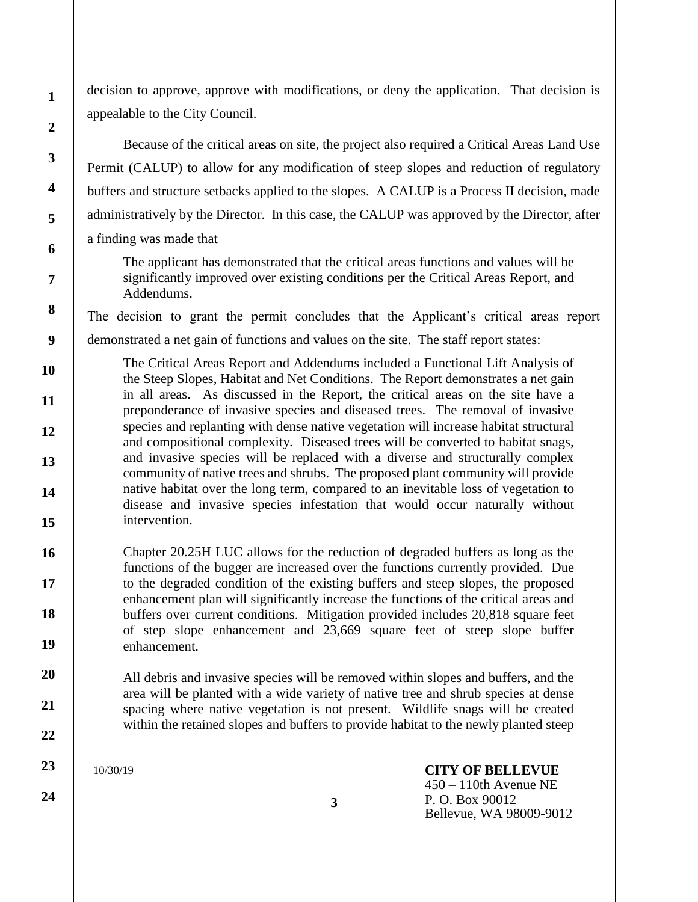decision to approve, approve with modifications, or deny the application. That decision is appealable to the City Council.

Because of the critical areas on site, the project also required a Critical Areas Land Use Permit (CALUP) to allow for any modification of steep slopes and reduction of regulatory buffers and structure setbacks applied to the slopes. A CALUP is a Process II decision, made administratively by the Director. In this case, the CALUP was approved by the Director, after a finding was made that

The applicant has demonstrated that the critical areas functions and values will be significantly improved over existing conditions per the Critical Areas Report, and Addendums.

The decision to grant the permit concludes that the Applicant's critical areas report

demonstrated a net gain of functions and values on the site. The staff report states:

The Critical Areas Report and Addendums included a Functional Lift Analysis of the Steep Slopes, Habitat and Net Conditions. The Report demonstrates a net gain in all areas. As discussed in the Report, the critical areas on the site have a preponderance of invasive species and diseased trees. The removal of invasive species and replanting with dense native vegetation will increase habitat structural and compositional complexity. Diseased trees will be converted to habitat snags, and invasive species will be replaced with a diverse and structurally complex community of native trees and shrubs. The proposed plant community will provide native habitat over the long term, compared to an inevitable loss of vegetation to disease and invasive species infestation that would occur naturally without intervention.

Chapter 20.25H LUC allows for the reduction of degraded buffers as long as the functions of the bugger are increased over the functions currently provided. Due to the degraded condition of the existing buffers and steep slopes, the proposed enhancement plan will significantly increase the functions of the critical areas and buffers over current conditions. Mitigation provided includes 20,818 square feet of step slope enhancement and 23,669 square feet of steep slope buffer enhancement.

All debris and invasive species will be removed within slopes and buffers, and the area will be planted with a wide variety of native tree and shrub species at dense spacing where native vegetation is not present. Wildlife snags will be created within the retained slopes and buffers to provide habitat to the newly planted steep

10/30/19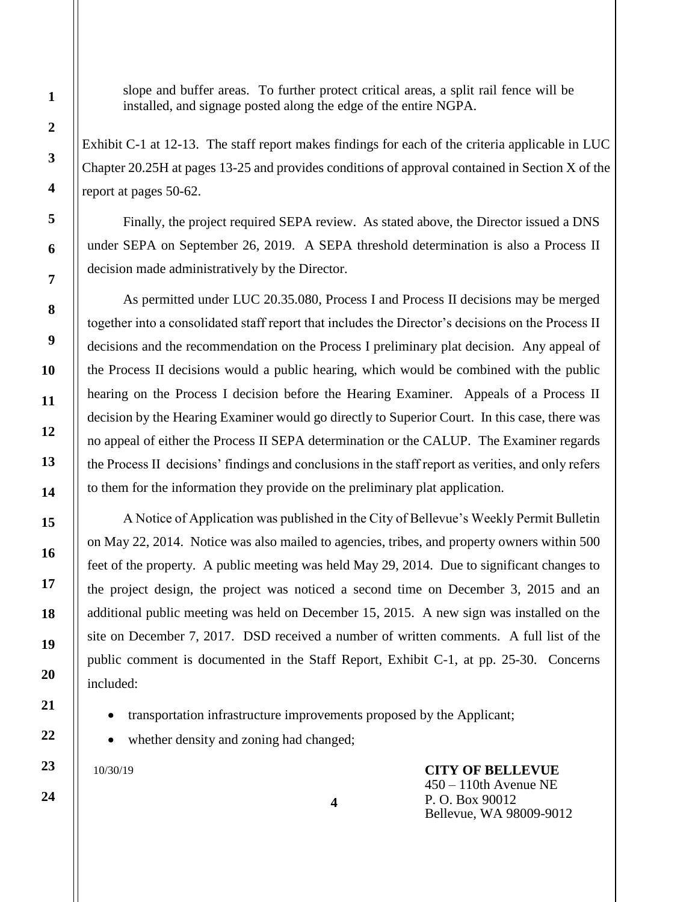slope and buffer areas. To further protect critical areas, a split rail fence will be installed, and signage posted along the edge of the entire NGPA.

Exhibit C-1 at 12-13. The staff report makes findings for each of the criteria applicable in LUC Chapter 20.25H at pages 13-25 and provides conditions of approval contained in Section X of the report at pages 50-62.

Finally, the project required SEPA review. As stated above, the Director issued a DNS under SEPA on September 26, 2019. A SEPA threshold determination is also a Process II decision made administratively by the Director.

As permitted under LUC 20.35.080, Process I and Process II decisions may be merged together into a consolidated staff report that includes the Director's decisions on the Process II decisions and the recommendation on the Process I preliminary plat decision. Any appeal of the Process II decisions would a public hearing, which would be combined with the public hearing on the Process I decision before the Hearing Examiner. Appeals of a Process II decision by the Hearing Examiner would go directly to Superior Court. In this case, there was no appeal of either the Process II SEPA determination or the CALUP. The Examiner regards the Process II decisions' findings and conclusions in the staff report as verities, and only refers to them for the information they provide on the preliminary plat application.

A Notice of Application was published in the City of Bellevue's Weekly Permit Bulletin on May 22, 2014. Notice was also mailed to agencies, tribes, and property owners within 500 feet of the property. A public meeting was held May 29, 2014. Due to significant changes to the project design, the project was noticed a second time on December 3, 2015 and an additional public meeting was held on December 15, 2015. A new sign was installed on the site on December 7, 2017. DSD received a number of written comments. A full list of the public comment is documented in the Staff Report, Exhibit C-1, at pp. 25-30. Concerns included:

• transportation infrastructure improvements proposed by the Applicant;

**4**

whether density and zoning had changed;

10/30/19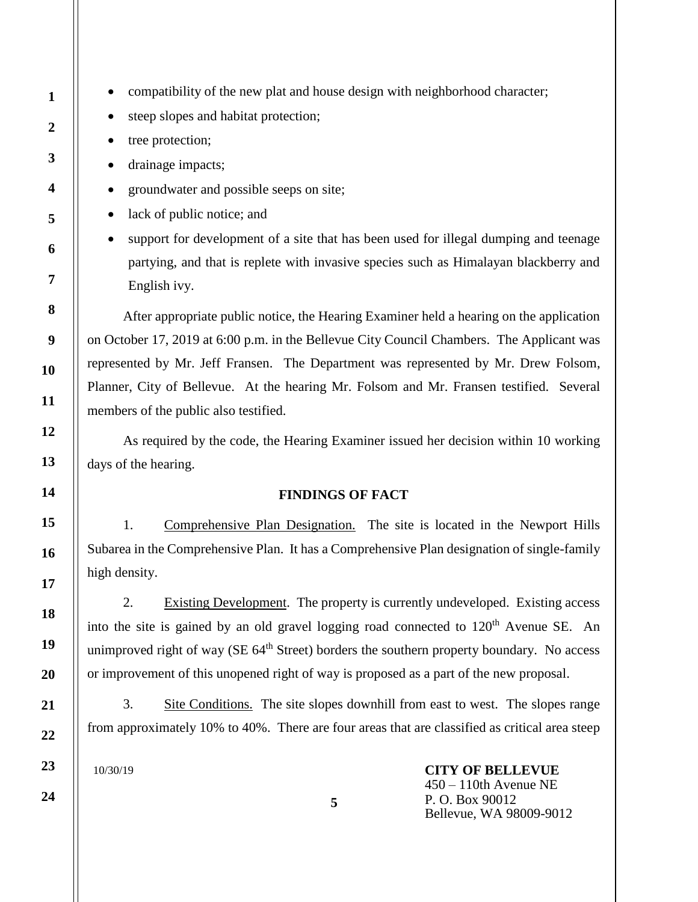- compatibility of the new plat and house design with neighborhood character;
- steep slopes and habitat protection;
- tree protection;
- drainage impacts;
- groundwater and possible seeps on site;
- lack of public notice; and
- support for development of a site that has been used for illegal dumping and teenage partying, and that is replete with invasive species such as Himalayan blackberry and English ivy.

After appropriate public notice, the Hearing Examiner held a hearing on the application on October 17, 2019 at 6:00 p.m. in the Bellevue City Council Chambers. The Applicant was represented by Mr. Jeff Fransen. The Department was represented by Mr. Drew Folsom, Planner, City of Bellevue. At the hearing Mr. Folsom and Mr. Fransen testified. Several members of the public also testified.

As required by the code, the Hearing Examiner issued her decision within 10 working days of the hearing.

#### **FINDINGS OF FACT**

1. Comprehensive Plan Designation. The site is located in the Newport Hills Subarea in the Comprehensive Plan. It has a Comprehensive Plan designation of single-family high density.

2. Existing Development. The property is currently undeveloped. Existing access into the site is gained by an old gravel logging road connected to  $120<sup>th</sup>$  Avenue SE. An unimproved right of way ( $SE\ 64<sup>th</sup>$  Street) borders the southern property boundary. No access or improvement of this unopened right of way is proposed as a part of the new proposal.

3. Site Conditions. The site slopes downhill from east to west. The slopes range from approximately 10% to 40%. There are four areas that are classified as critical area steep

10/30/19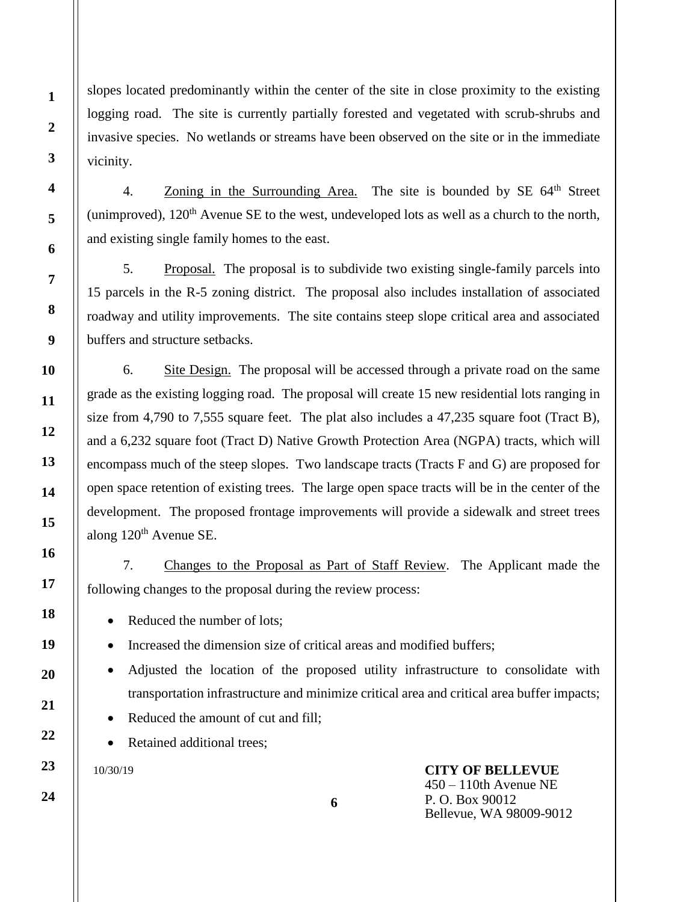slopes located predominantly within the center of the site in close proximity to the existing logging road. The site is currently partially forested and vegetated with scrub-shrubs and invasive species. No wetlands or streams have been observed on the site or in the immediate vicinity.

4. Zoning in the Surrounding Area. The site is bounded by  $SE\ 64<sup>th</sup>$  Street (unimproved),  $120<sup>th</sup>$  Avenue SE to the west, undeveloped lots as well as a church to the north, and existing single family homes to the east.

5. Proposal. The proposal is to subdivide two existing single-family parcels into 15 parcels in the R-5 zoning district. The proposal also includes installation of associated roadway and utility improvements. The site contains steep slope critical area and associated buffers and structure setbacks.

6. Site Design. The proposal will be accessed through a private road on the same grade as the existing logging road. The proposal will create 15 new residential lots ranging in size from 4,790 to 7,555 square feet. The plat also includes a 47,235 square foot (Tract B), and a 6,232 square foot (Tract D) Native Growth Protection Area (NGPA) tracts, which will encompass much of the steep slopes. Two landscape tracts (Tracts F and G) are proposed for open space retention of existing trees. The large open space tracts will be in the center of the development. The proposed frontage improvements will provide a sidewalk and street trees along  $120<sup>th</sup>$  Avenue SE.

7. Changes to the Proposal as Part of Staff Review. The Applicant made the following changes to the proposal during the review process:

• Reduced the number of lots;

Increased the dimension size of critical areas and modified buffers;

- Adjusted the location of the proposed utility infrastructure to consolidate with transportation infrastructure and minimize critical area and critical area buffer impacts;
- Reduced the amount of cut and fill;

Retained additional trees:

10/30/19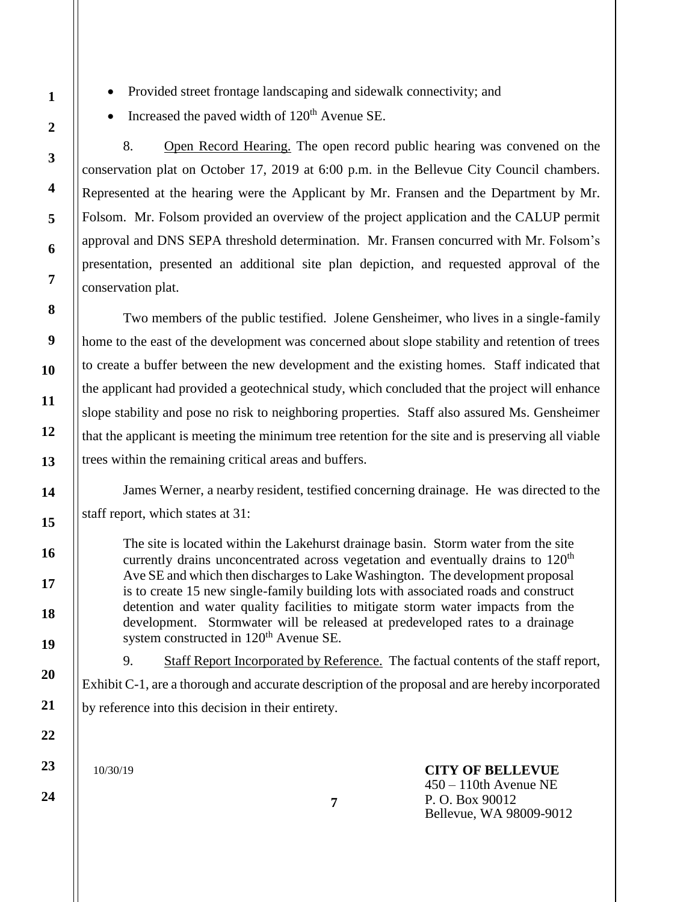- Provided street frontage landscaping and sidewalk connectivity; and
- Increased the paved width of  $120<sup>th</sup>$  Avenue SE.

8. Open Record Hearing. The open record public hearing was convened on the conservation plat on October 17, 2019 at 6:00 p.m. in the Bellevue City Council chambers. Represented at the hearing were the Applicant by Mr. Fransen and the Department by Mr. Folsom. Mr. Folsom provided an overview of the project application and the CALUP permit approval and DNS SEPA threshold determination. Mr. Fransen concurred with Mr. Folsom's presentation, presented an additional site plan depiction, and requested approval of the conservation plat.

Two members of the public testified. Jolene Gensheimer, who lives in a single-family home to the east of the development was concerned about slope stability and retention of trees to create a buffer between the new development and the existing homes. Staff indicated that the applicant had provided a geotechnical study, which concluded that the project will enhance slope stability and pose no risk to neighboring properties. Staff also assured Ms. Gensheimer that the applicant is meeting the minimum tree retention for the site and is preserving all viable trees within the remaining critical areas and buffers.

James Werner, a nearby resident, testified concerning drainage. He was directed to the staff report, which states at 31:

The site is located within the Lakehurst drainage basin. Storm water from the site currently drains unconcentrated across vegetation and eventually drains to  $120<sup>th</sup>$ Ave SE and which then discharges to Lake Washington. The development proposal is to create 15 new single-family building lots with associated roads and construct detention and water quality facilities to mitigate storm water impacts from the development. Stormwater will be released at predeveloped rates to a drainage system constructed in 120<sup>th</sup> Avenue SE.

9. Staff Report Incorporated by Reference. The factual contents of the staff report, Exhibit C-1, are a thorough and accurate description of the proposal and are hereby incorporated by reference into this decision in their entirety.

10/30/19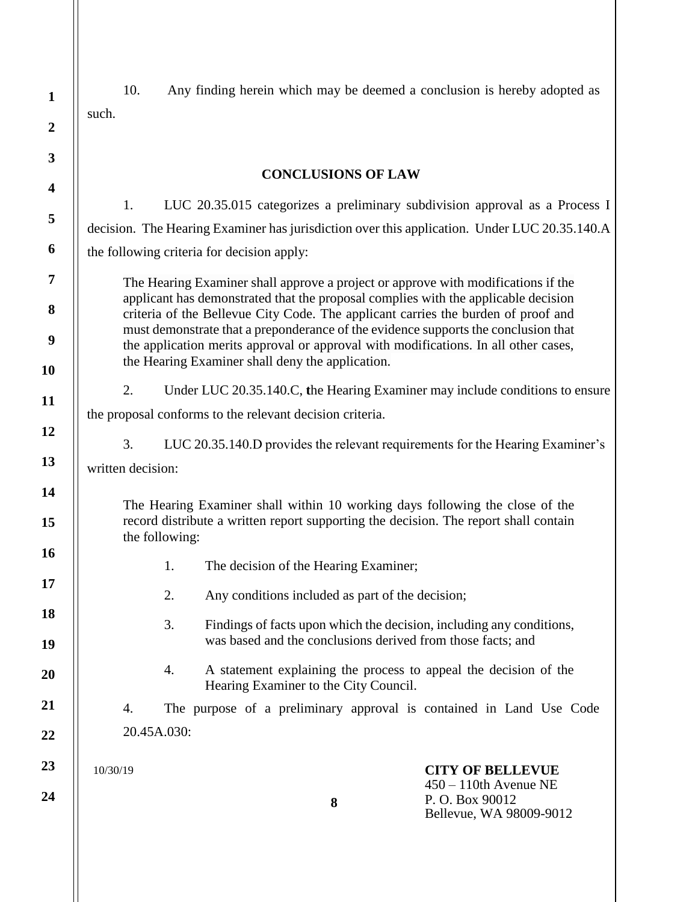10. Any finding herein which may be deemed a conclusion is hereby adopted as such.

#### **CONCLUSIONS OF LAW**

1. LUC 20.35.015 categorizes a preliminary subdivision approval as a Process I decision. The Hearing Examiner has jurisdiction over this application. Under LUC 20.35.140.A the following criteria for decision apply:

The Hearing Examiner shall approve a project or approve with modifications if the applicant has demonstrated that the proposal complies with the applicable decision criteria of the Bellevue City Code. The applicant carries the burden of proof and must demonstrate that a preponderance of the evidence supports the conclusion that the application merits approval or approval with modifications. In all other cases, the Hearing Examiner shall deny the application.

2. Under LUC 20.35.140.C, **t**he Hearing Examiner may include conditions to ensure

the proposal conforms to the relevant decision criteria.

3. LUC 20.35.140.D provides the relevant requirements for the Hearing Examiner's

written decision:

The Hearing Examiner shall within 10 working days following the close of the record distribute a written report supporting the decision. The report shall contain the following:

- 1. The decision of the Hearing Examiner;
- 2. Any conditions included as part of the decision;
- 3. Findings of facts upon which the decision, including any conditions, was based and the conclusions derived from those facts; and
- 4. A statement explaining the process to appeal the decision of the Hearing Examiner to the City Council.

4. The purpose of a preliminary approval is contained in Land Use Code 20.45A.030:

10/30/19

**24**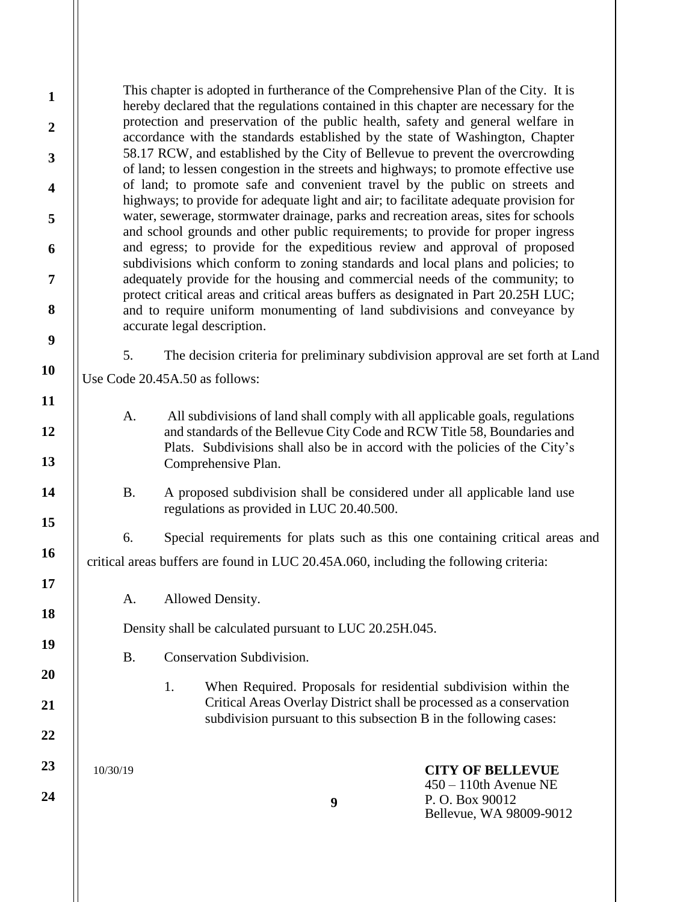This chapter is adopted in furtherance of the Comprehensive Plan of the City. It is hereby declared that the regulations contained in this chapter are necessary for the protection and preservation of the public health, safety and general welfare in accordance with the standards established by the state of Washington, Chapter 58.17 RCW, and established by the City of Bellevue to prevent the overcrowding of land; to lessen congestion in the streets and highways; to promote effective use of land; to promote safe and convenient travel by the public on streets and highways; to provide for adequate light and air; to facilitate adequate provision for water, sewerage, stormwater drainage, parks and recreation areas, sites for schools and school grounds and other public requirements; to provide for proper ingress and egress; to provide for the expeditious review and approval of proposed subdivisions which conform to zoning standards and local plans and policies; to adequately provide for the housing and commercial needs of the community; to protect critical areas and critical areas buffers as designated in Part 20.25H LUC; and to require uniform monumenting of land subdivisions and conveyance by accurate legal description.

Use Code 20.45A.50 as follows:

A. All subdivisions of land shall comply with all applicable goals, regulations and standards of the Bellevue City Code and RCW Title 58, Boundaries and Plats. Subdivisions shall also be in accord with the policies of the City's Comprehensive Plan.

5. The decision criteria for preliminary subdivision approval are set forth at Land

B. A proposed subdivision shall be considered under all applicable land use regulations as provided in LUC 20.40.500.

6. Special requirements for plats such as this one containing critical areas and critical areas buffers are found in LUC 20.45A.060, including the following criteria:

A. Allowed Density.

Density shall be calculated pursuant to LUC 20.25H.045.

B. Conservation Subdivision.

1. When Required. Proposals for residential subdivision within the Critical Areas Overlay District shall be processed as a conservation subdivision pursuant to this subsection B in the following cases:

10/30/19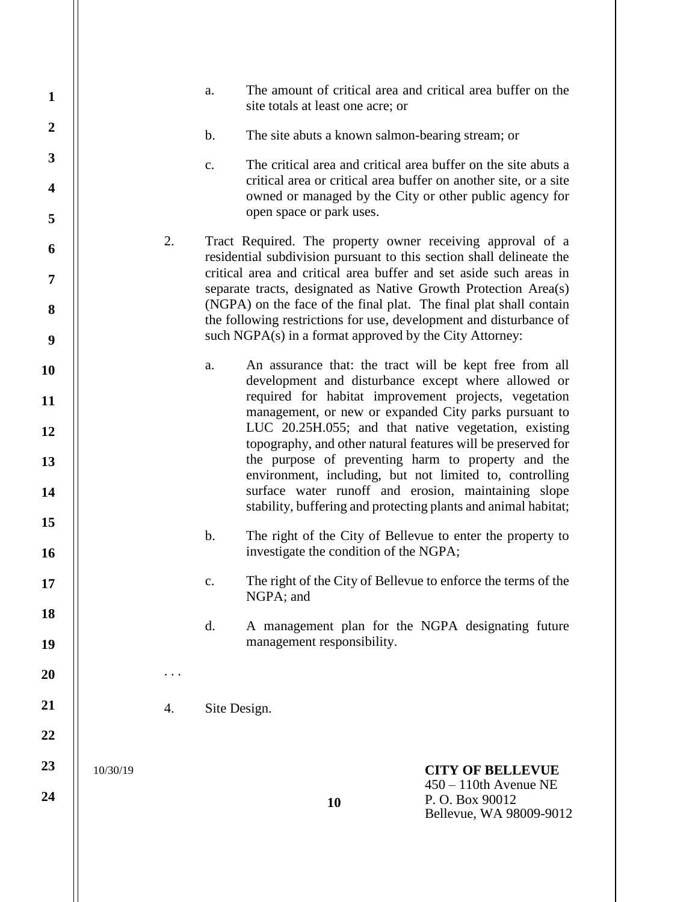| $\mathbf{1}$            |          |    | a.             | site totals at least one acre; or                       | The amount of critical area and critical area buffer on the                                                                              |
|-------------------------|----------|----|----------------|---------------------------------------------------------|------------------------------------------------------------------------------------------------------------------------------------------|
| $\overline{2}$          |          |    | $\mathbf{b}$ . | The site abuts a known salmon-bearing stream; or        |                                                                                                                                          |
| $\mathbf{3}$            |          |    | c.             |                                                         | The critical area and critical area buffer on the site abuts a                                                                           |
| $\overline{\mathbf{4}}$ |          |    |                | open space or park uses.                                | critical area or critical area buffer on another site, or a site<br>owned or managed by the City or other public agency for              |
| 5                       |          | 2. |                |                                                         | Tract Required. The property owner receiving approval of a                                                                               |
| 6                       |          |    |                |                                                         | residential subdivision pursuant to this section shall delineate the                                                                     |
| $\overline{7}$          |          |    |                |                                                         | critical area and critical area buffer and set aside such areas in<br>separate tracts, designated as Native Growth Protection Area(s)    |
| 8                       |          |    |                |                                                         | (NGPA) on the face of the final plat. The final plat shall contain<br>the following restrictions for use, development and disturbance of |
| $\boldsymbol{9}$        |          |    |                | such NGPA(s) in a format approved by the City Attorney: |                                                                                                                                          |
| 10                      |          |    | a.             |                                                         | An assurance that: the tract will be kept free from all<br>development and disturbance except where allowed or                           |
| 11                      |          |    |                |                                                         | required for habitat improvement projects, vegetation                                                                                    |
| 12                      |          |    |                |                                                         | management, or new or expanded City parks pursuant to<br>LUC 20.25H.055; and that native vegetation, existing                            |
| 13                      |          |    |                |                                                         | topography, and other natural features will be preserved for<br>the purpose of preventing harm to property and the                       |
| 14                      |          |    |                |                                                         | environment, including, but not limited to, controlling<br>surface water runoff and erosion, maintaining slope                           |
| 15                      |          |    |                |                                                         | stability, buffering and protecting plants and animal habitat;                                                                           |
| 16                      |          |    | $\mathbf{b}$ . | investigate the condition of the NGPA;                  | The right of the City of Bellevue to enter the property to                                                                               |
| 17                      |          |    | c.             | NGPA; and                                               | The right of the City of Bellevue to enforce the terms of the                                                                            |
| 18                      |          |    | d.             |                                                         | A management plan for the NGPA designating future                                                                                        |
| 19                      |          |    |                | management responsibility.                              |                                                                                                                                          |
| 20                      |          |    |                |                                                         |                                                                                                                                          |
| 21                      |          | 4. |                | Site Design.                                            |                                                                                                                                          |
| 22                      |          |    |                |                                                         |                                                                                                                                          |
| 23                      | 10/30/19 |    |                |                                                         | <b>CITY OF BELLEVUE</b>                                                                                                                  |
| 24                      |          |    |                | 10                                                      | $450 - 110$ th Avenue NE<br>P.O. Box 90012<br>Bellevue, WA 98009-9012                                                                    |
|                         |          |    |                |                                                         |                                                                                                                                          |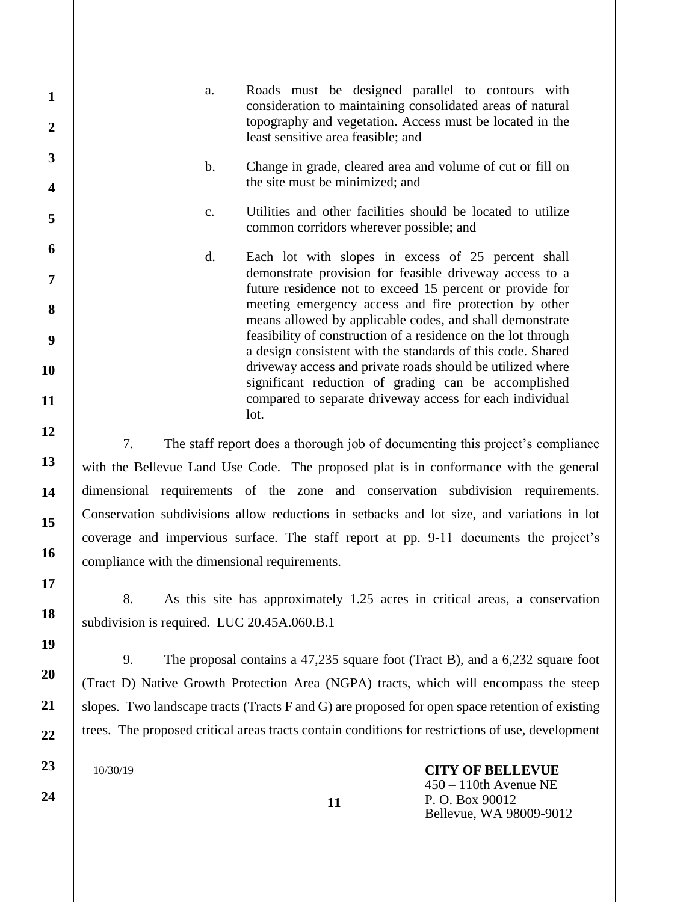a. Roads must be designed parallel to contours with consideration to maintaining consolidated areas of natural topography and vegetation. Access must be located in the least sensitive area feasible; and

b. Change in grade, cleared area and volume of cut or fill on the site must be minimized; and

c. Utilities and other facilities should be located to utilize common corridors wherever possible; and

d. Each lot with slopes in excess of 25 percent shall demonstrate provision for feasible driveway access to a future residence not to exceed 15 percent or provide for meeting emergency access and fire protection by other means allowed by applicable codes, and shall demonstrate feasibility of construction of a residence on the lot through a design consistent with the standards of this code. Shared driveway access and private roads should be utilized where significant reduction of grading can be accomplished compared to separate driveway access for each individual lot.

7. The staff report does a thorough job of documenting this project's compliance with the Bellevue Land Use Code. The proposed plat is in conformance with the general dimensional requirements of the zone and conservation subdivision requirements. Conservation subdivisions allow reductions in setbacks and lot size, and variations in lot coverage and impervious surface. The staff report at pp. 9-11 documents the project's compliance with the dimensional requirements.

8. As this site has approximately 1.25 acres in critical areas, a conservation subdivision is required. LUC 20.45A.060.B.1

9. The proposal contains a 47,235 square foot (Tract B), and a 6,232 square foot (Tract D) Native Growth Protection Area (NGPA) tracts, which will encompass the steep slopes. Two landscape tracts (Tracts F and G) are proposed for open space retention of existing trees. The proposed critical areas tracts contain conditions for restrictions of use, development

10/30/19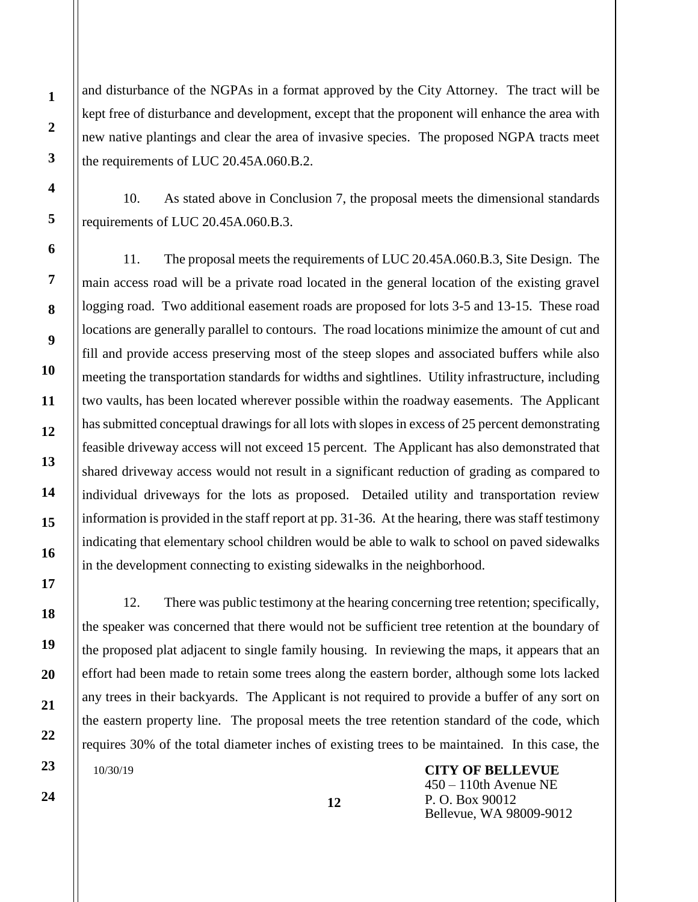and disturbance of the NGPAs in a format approved by the City Attorney. The tract will be kept free of disturbance and development, except that the proponent will enhance the area with new native plantings and clear the area of invasive species. The proposed NGPA tracts meet the requirements of LUC 20.45A.060.B.2.

10. As stated above in Conclusion 7, the proposal meets the dimensional standards requirements of LUC 20.45A.060.B.3.

11. The proposal meets the requirements of LUC 20.45A.060.B.3, Site Design. The main access road will be a private road located in the general location of the existing gravel logging road. Two additional easement roads are proposed for lots 3-5 and 13-15. These road locations are generally parallel to contours. The road locations minimize the amount of cut and fill and provide access preserving most of the steep slopes and associated buffers while also meeting the transportation standards for widths and sightlines. Utility infrastructure, including two vaults, has been located wherever possible within the roadway easements. The Applicant has submitted conceptual drawings for all lots with slopes in excess of 25 percent demonstrating feasible driveway access will not exceed 15 percent. The Applicant has also demonstrated that shared driveway access would not result in a significant reduction of grading as compared to individual driveways for the lots as proposed. Detailed utility and transportation review information is provided in the staff report at pp. 31-36. At the hearing, there was staff testimony indicating that elementary school children would be able to walk to school on paved sidewalks in the development connecting to existing sidewalks in the neighborhood.

10/30/19 12. There was public testimony at the hearing concerning tree retention; specifically, the speaker was concerned that there would not be sufficient tree retention at the boundary of the proposed plat adjacent to single family housing. In reviewing the maps, it appears that an effort had been made to retain some trees along the eastern border, although some lots lacked any trees in their backyards. The Applicant is not required to provide a buffer of any sort on the eastern property line. The proposal meets the tree retention standard of the code, which requires 30% of the total diameter inches of existing trees to be maintained. In this case, the

**CITY OF BELLEVUE** 450 – 110th Avenue NE P. O. Box 90012 Bellevue, WA 98009-9012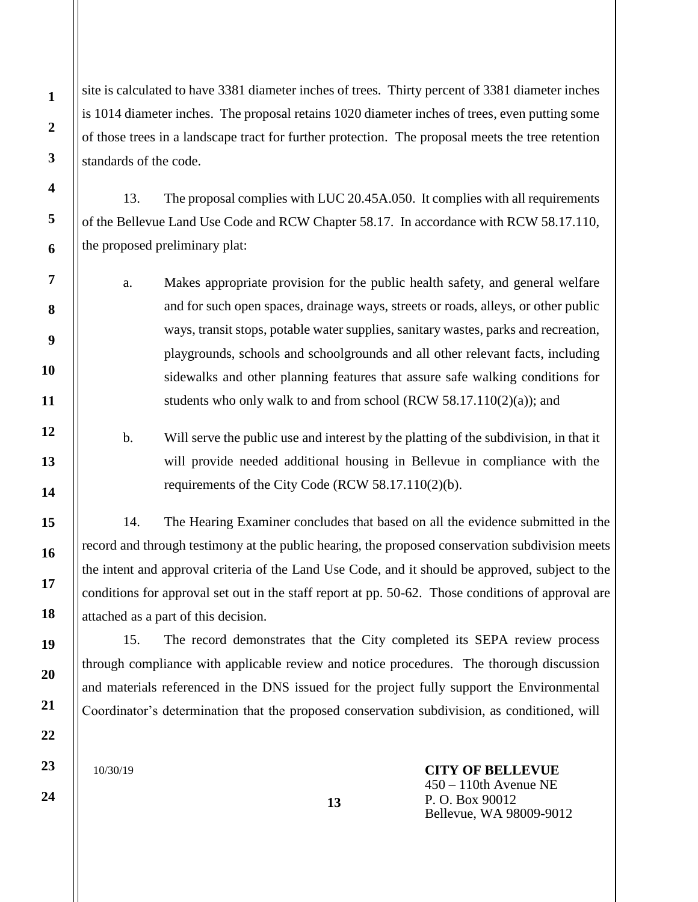site is calculated to have 3381 diameter inches of trees. Thirty percent of 3381 diameter inches is 1014 diameter inches. The proposal retains 1020 diameter inches of trees, even putting some of those trees in a landscape tract for further protection. The proposal meets the tree retention standards of the code.

13. The proposal complies with LUC 20.45A.050. It complies with all requirements of the Bellevue Land Use Code and RCW Chapter 58.17. In accordance with RCW 58.17.110, the proposed preliminary plat:

a. Makes appropriate provision for the public health safety, and general welfare and for such open spaces, drainage ways, streets or roads, alleys, or other public ways, transit stops, potable water supplies, sanitary wastes, parks and recreation, playgrounds, schools and schoolgrounds and all other relevant facts, including sidewalks and other planning features that assure safe walking conditions for students who only walk to and from school (RCW  $58.17.110(2)(a)$ ); and

b. Will serve the public use and interest by the platting of the subdivision, in that it will provide needed additional housing in Bellevue in compliance with the requirements of the City Code (RCW 58.17.110(2)(b).

14. The Hearing Examiner concludes that based on all the evidence submitted in the record and through testimony at the public hearing, the proposed conservation subdivision meets the intent and approval criteria of the Land Use Code, and it should be approved, subject to the conditions for approval set out in the staff report at pp. 50-62. Those conditions of approval are attached as a part of this decision.

15. The record demonstrates that the City completed its SEPA review process through compliance with applicable review and notice procedures. The thorough discussion and materials referenced in the DNS issued for the project fully support the Environmental Coordinator's determination that the proposed conservation subdivision, as conditioned, will

**13**

10/30/19

**CITY OF BELLEVUE** 450 – 110th Avenue NE P. O. Box 90012 Bellevue, WA 98009-9012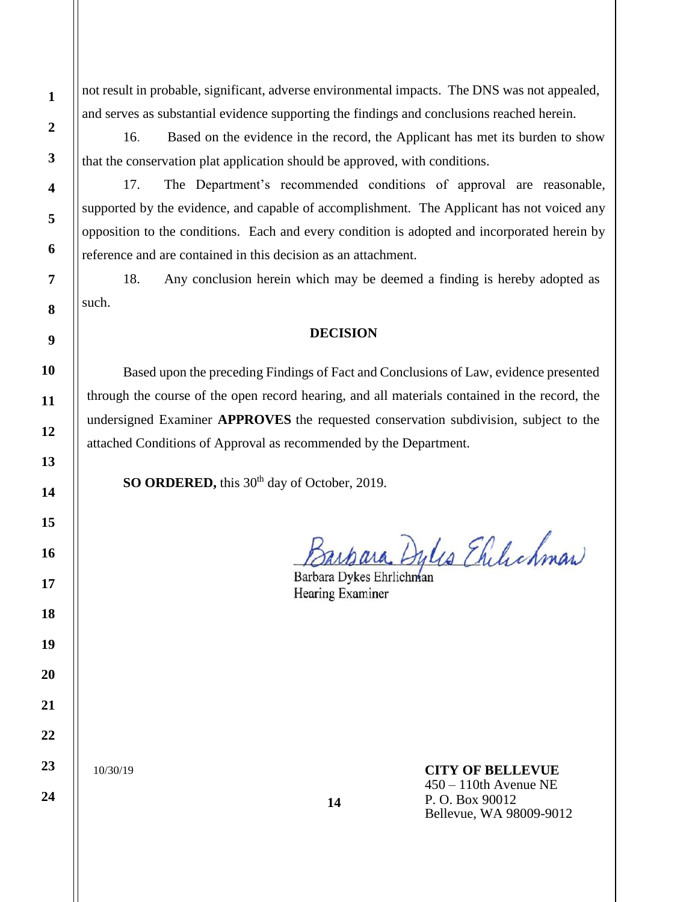not result in probable, significant, adverse environmental impacts. The DNS was not appealed, and serves as substantial evidence supporting the findings and conclusions reached herein.

16. Based on the evidence in the record, the Applicant has met its burden to show that the conservation plat application should be approved, with conditions.

17. The Department's recommended conditions of approval are reasonable, supported by the evidence, and capable of accomplishment. The Applicant has not voiced any opposition to the conditions. Each and every condition is adopted and incorporated herein by reference and are contained in this decision as an attachment.

18. Any conclusion herein which may be deemed a finding is hereby adopted as such.

## **DECISION**

Based upon the preceding Findings of Fact and Conclusions of Law, evidence presented through the course of the open record hearing, and all materials contained in the record, the undersigned Examiner **APPROVES** the requested conservation subdivision, subject to the attached Conditions of Approval as recommended by the Department.

**SO ORDERED,** this 30<sup>th</sup> day of October, 2019.

Barbara Dyles Ehilichman

Hearing Examiner

**14**

10/30/19

## **CITY OF BELLEVUE**

450 – 110th Avenue NE P. O. Box 90012 Bellevue, WA 98009-9012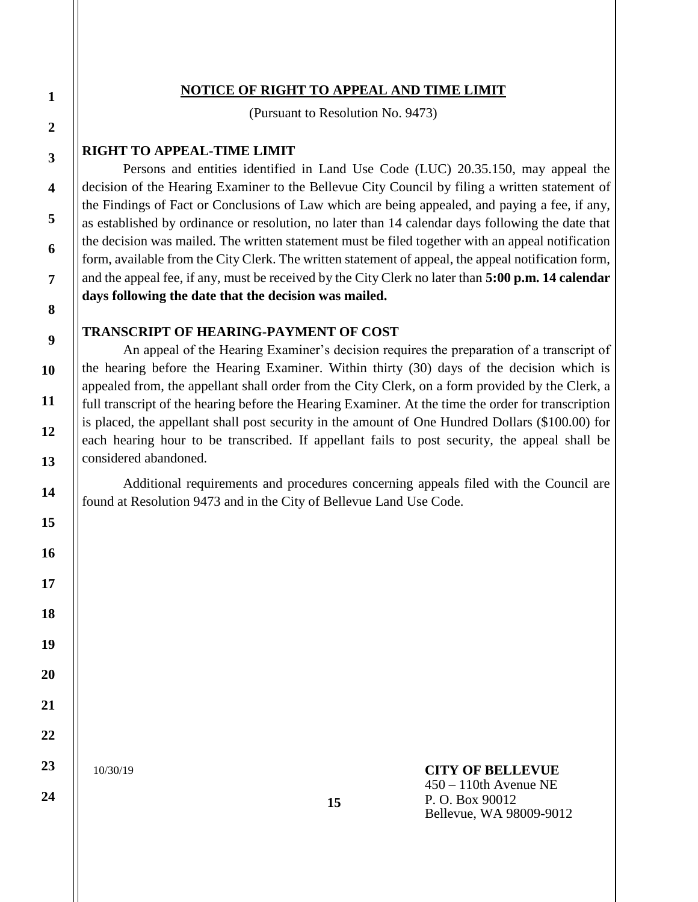### **NOTICE OF RIGHT TO APPEAL AND TIME LIMIT**

(Pursuant to Resolution No. 9473)

### **RIGHT TO APPEAL-TIME LIMIT**

Persons and entities identified in Land Use Code (LUC) 20.35.150, may appeal the decision of the Hearing Examiner to the Bellevue City Council by filing a written statement of the Findings of Fact or Conclusions of Law which are being appealed, and paying a fee, if any, as established by ordinance or resolution, no later than 14 calendar days following the date that the decision was mailed. The written statement must be filed together with an appeal notification form, available from the City Clerk. The written statement of appeal, the appeal notification form, and the appeal fee, if any, must be received by the City Clerk no later than **5:00 p.m. 14 calendar days following the date that the decision was mailed.**

### **TRANSCRIPT OF HEARING-PAYMENT OF COST**

An appeal of the Hearing Examiner's decision requires the preparation of a transcript of the hearing before the Hearing Examiner. Within thirty (30) days of the decision which is appealed from, the appellant shall order from the City Clerk, on a form provided by the Clerk, a full transcript of the hearing before the Hearing Examiner. At the time the order for transcription is placed, the appellant shall post security in the amount of One Hundred Dollars (\$100.00) for each hearing hour to be transcribed. If appellant fails to post security, the appeal shall be considered abandoned.

Additional requirements and procedures concerning appeals filed with the Council are found at Resolution 9473 and in the City of Bellevue Land Use Code.

10/30/19

#### **CITY OF BELLEVUE** 450 – 110th Avenue NE P. O. Box 90012

Bellevue, WA 98009-9012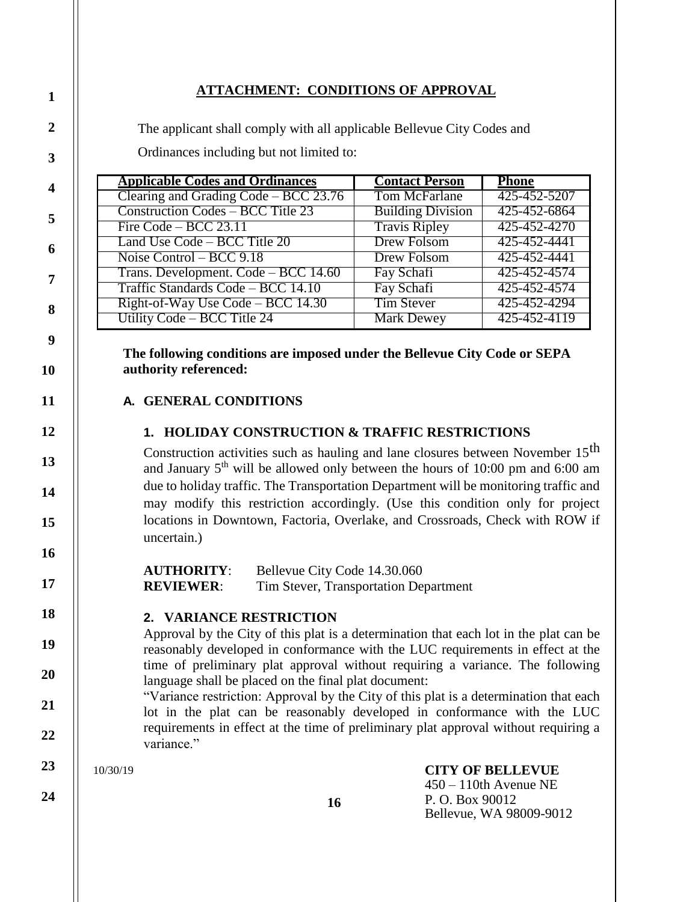## **ATTACHMENT: CONDITIONS OF APPROVAL**

The applicant shall comply with all applicable Bellevue City Codes and Ordinances including but not limited to:

| <b>Applicable Codes and Ordinances</b>   | <b>Contact Person</b>    | <b>Phone</b> |
|------------------------------------------|--------------------------|--------------|
| Clearing and Grading Code – BCC 23.76    | Tom McFarlane            | 425-452-5207 |
| <b>Construction Codes – BCC Title 23</b> | <b>Building Division</b> | 425-452-6864 |
| Fire Code – BCC $23.11$                  | <b>Travis Ripley</b>     | 425-452-4270 |
| Land Use Code – BCC Title 20             | Drew Folsom              | 425-452-4441 |
| Noise Control – BCC $9.18$               | <b>Drew Folsom</b>       | 425-452-4441 |
| Trans. Development. Code – BCC 14.60     | Fay Schafi               | 425-452-4574 |
| Traffic Standards Code – BCC 14.10       | Fay Schafi               | 425-452-4574 |
| Right-of-Way Use Code – BCC 14.30        | <b>Tim Stever</b>        | 425-452-4294 |
| Utility Code – BCC Title 24              | <b>Mark Dewey</b>        | 425-452-4119 |

**The following conditions are imposed under the Bellevue City Code or SEPA authority referenced:**

## **A. GENERAL CONDITIONS**

## **1. HOLIDAY CONSTRUCTION & TRAFFIC RESTRICTIONS**

Construction activities such as hauling and lane closures between November 15<sup>th</sup> and January  $5<sup>th</sup>$  will be allowed only between the hours of 10:00 pm and 6:00 am due to holiday traffic. The Transportation Department will be monitoring traffic and may modify this restriction accordingly. (Use this condition only for project locations in Downtown, Factoria, Overlake, and Crossroads, Check with ROW if uncertain.)

**AUTHORITY**: Bellevue City Code 14.30.060 **REVIEWER:** Tim Stever, Transportation Department

#### **2. VARIANCE RESTRICTION**

Approval by the City of this plat is a determination that each lot in the plat can be reasonably developed in conformance with the LUC requirements in effect at the time of preliminary plat approval without requiring a variance. The following language shall be placed on the final plat document:

"Variance restriction: Approval by the City of this plat is a determination that each lot in the plat can be reasonably developed in conformance with the LUC requirements in effect at the time of preliminary plat approval without requiring a variance."

10/30/19

**24**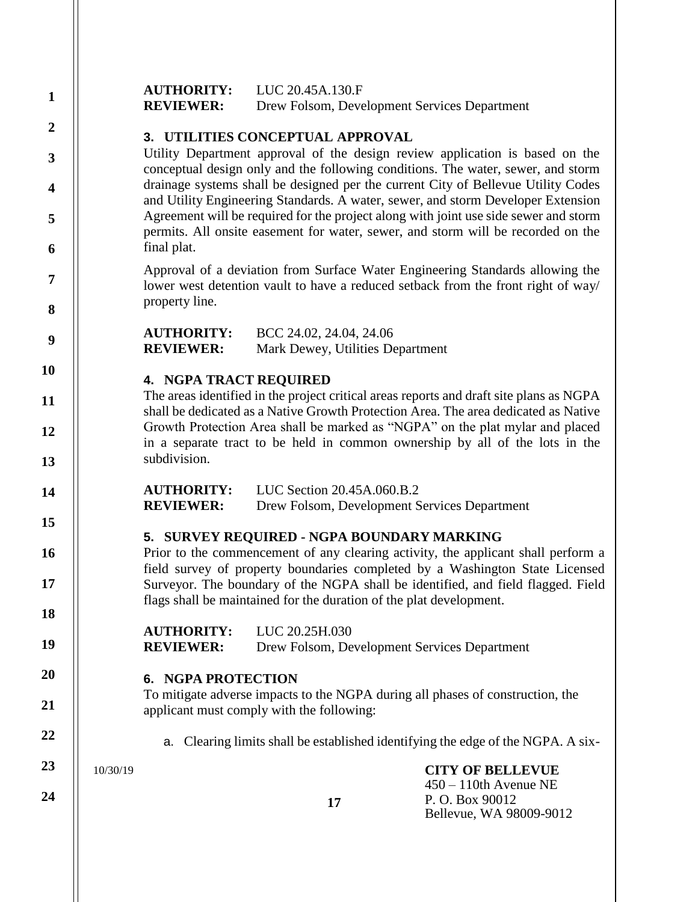| $\mathbf{1}$            |          | <b>AUTHORITY:</b><br><b>REVIEWER:</b> | LUC 20.45A.130.F<br>Drew Folsom, Development Services Department                                                                                                                                                                                     |                                                                                                                                                                          |  |  |  |
|-------------------------|----------|---------------------------------------|------------------------------------------------------------------------------------------------------------------------------------------------------------------------------------------------------------------------------------------------------|--------------------------------------------------------------------------------------------------------------------------------------------------------------------------|--|--|--|
| $\boldsymbol{2}$        |          |                                       | 3. UTILITIES CONCEPTUAL APPROVAL                                                                                                                                                                                                                     |                                                                                                                                                                          |  |  |  |
| 3                       |          |                                       |                                                                                                                                                                                                                                                      | Utility Department approval of the design review application is based on the<br>conceptual design only and the following conditions. The water, sewer, and storm         |  |  |  |
| $\overline{\mathbf{4}}$ |          |                                       |                                                                                                                                                                                                                                                      | drainage systems shall be designed per the current City of Bellevue Utility Codes<br>and Utility Engineering Standards. A water, sewer, and storm Developer Extension    |  |  |  |
| 5<br>6                  |          | final plat.                           |                                                                                                                                                                                                                                                      | Agreement will be required for the project along with joint use side sewer and storm<br>permits. All onsite easement for water, sewer, and storm will be recorded on the |  |  |  |
| 7                       |          |                                       |                                                                                                                                                                                                                                                      | Approval of a deviation from Surface Water Engineering Standards allowing the                                                                                            |  |  |  |
| 8                       |          | property line.                        |                                                                                                                                                                                                                                                      | lower west detention vault to have a reduced setback from the front right of way/                                                                                        |  |  |  |
| 9                       |          | <b>AUTHORITY:</b><br><b>REVIEWER:</b> | BCC 24.02, 24.04, 24.06<br>Mark Dewey, Utilities Department                                                                                                                                                                                          |                                                                                                                                                                          |  |  |  |
| <b>10</b>               |          | <b>4. NGPA TRACT REQUIRED</b>         |                                                                                                                                                                                                                                                      |                                                                                                                                                                          |  |  |  |
| 11                      |          |                                       |                                                                                                                                                                                                                                                      | The areas identified in the project critical areas reports and draft site plans as NGPA                                                                                  |  |  |  |
| 12                      |          |                                       | shall be dedicated as a Native Growth Protection Area. The area dedicated as Native<br>Growth Protection Area shall be marked as "NGPA" on the plat mylar and placed<br>in a separate tract to be held in common ownership by all of the lots in the |                                                                                                                                                                          |  |  |  |
| 13                      |          | subdivision.                          |                                                                                                                                                                                                                                                      |                                                                                                                                                                          |  |  |  |
| 14                      |          | <b>AUTHORITY:</b><br><b>REVIEWER:</b> | LUC Section 20.45A.060.B.2<br>Drew Folsom, Development Services Department                                                                                                                                                                           |                                                                                                                                                                          |  |  |  |
| 15                      |          |                                       | 5. SURVEY REQUIRED - NGPA BOUNDARY MARKING                                                                                                                                                                                                           |                                                                                                                                                                          |  |  |  |
| 16                      |          |                                       |                                                                                                                                                                                                                                                      | Prior to the commencement of any clearing activity, the applicant shall perform a                                                                                        |  |  |  |
| 17                      |          |                                       |                                                                                                                                                                                                                                                      | field survey of property boundaries completed by a Washington State Licensed<br>Surveyor. The boundary of the NGPA shall be identified, and field flagged. Field         |  |  |  |
| 18                      |          |                                       | flags shall be maintained for the duration of the plat development.                                                                                                                                                                                  |                                                                                                                                                                          |  |  |  |
| 19                      |          | <b>AUTHORITY:</b><br><b>REVIEWER:</b> | LUC 20.25H.030<br>Drew Folsom, Development Services Department                                                                                                                                                                                       |                                                                                                                                                                          |  |  |  |
| 20                      |          | <b>NGPA PROTECTION</b><br>6.          |                                                                                                                                                                                                                                                      |                                                                                                                                                                          |  |  |  |
| 21                      |          |                                       | To mitigate adverse impacts to the NGPA during all phases of construction, the<br>applicant must comply with the following:                                                                                                                          |                                                                                                                                                                          |  |  |  |
| 22                      |          |                                       |                                                                                                                                                                                                                                                      | a. Clearing limits shall be established identifying the edge of the NGPA. A six-                                                                                         |  |  |  |
| 23                      | 10/30/19 |                                       |                                                                                                                                                                                                                                                      | <b>CITY OF BELLEVUE</b>                                                                                                                                                  |  |  |  |
| 24                      |          |                                       | 17                                                                                                                                                                                                                                                   | $450 - 110$ th Avenue NE<br>P.O. Box 90012<br>Bellevue, WA 98009-9012                                                                                                    |  |  |  |
|                         |          |                                       |                                                                                                                                                                                                                                                      |                                                                                                                                                                          |  |  |  |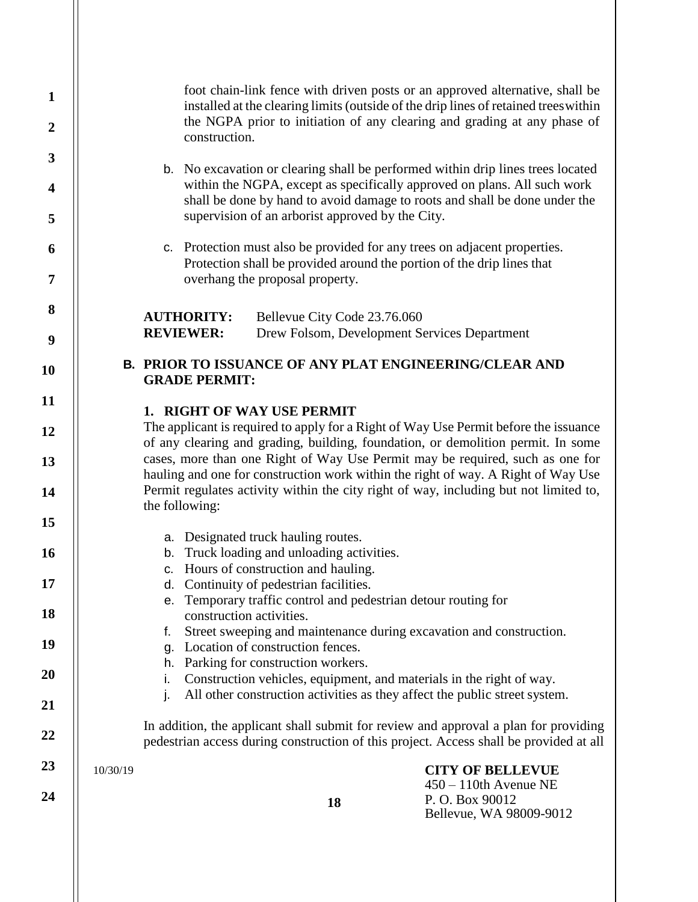| $\mathbf{1}$<br>$\boldsymbol{2}$<br>3<br>$\overline{\mathbf{4}}$<br>5<br>6<br>7<br>8 | foot chain-link fence with driven posts or an approved alternative, shall be<br>installed at the clearing limits (outside of the drip lines of retained trees within<br>the NGPA prior to initiation of any clearing and grading at any phase of<br>construction.<br>b. No excavation or clearing shall be performed within drip lines trees located<br>within the NGPA, except as specifically approved on plans. All such work<br>shall be done by hand to avoid damage to roots and shall be done under the<br>supervision of an arborist approved by the City.<br>c. Protection must also be provided for any trees on adjacent properties.<br>Protection shall be provided around the portion of the drip lines that<br>overhang the proposal property.<br>Bellevue City Code 23.76.060<br><b>AUTHORITY:</b> |                                                                                                                                                                                                                                                             |                                                                                                           |                                                                                                                                                                                |  |  |
|--------------------------------------------------------------------------------------|-------------------------------------------------------------------------------------------------------------------------------------------------------------------------------------------------------------------------------------------------------------------------------------------------------------------------------------------------------------------------------------------------------------------------------------------------------------------------------------------------------------------------------------------------------------------------------------------------------------------------------------------------------------------------------------------------------------------------------------------------------------------------------------------------------------------|-------------------------------------------------------------------------------------------------------------------------------------------------------------------------------------------------------------------------------------------------------------|-----------------------------------------------------------------------------------------------------------|--------------------------------------------------------------------------------------------------------------------------------------------------------------------------------|--|--|
| 9                                                                                    |                                                                                                                                                                                                                                                                                                                                                                                                                                                                                                                                                                                                                                                                                                                                                                                                                   | <b>REVIEWER:</b>                                                                                                                                                                                                                                            |                                                                                                           | Drew Folsom, Development Services Department                                                                                                                                   |  |  |
| <b>10</b>                                                                            |                                                                                                                                                                                                                                                                                                                                                                                                                                                                                                                                                                                                                                                                                                                                                                                                                   | <b>GRADE PERMIT:</b>                                                                                                                                                                                                                                        |                                                                                                           | <b>B. PRIOR TO ISSUANCE OF ANY PLAT ENGINEERING/CLEAR AND</b>                                                                                                                  |  |  |
| 11                                                                                   |                                                                                                                                                                                                                                                                                                                                                                                                                                                                                                                                                                                                                                                                                                                                                                                                                   |                                                                                                                                                                                                                                                             | 1. RIGHT OF WAY USE PERMIT                                                                                |                                                                                                                                                                                |  |  |
| 12                                                                                   |                                                                                                                                                                                                                                                                                                                                                                                                                                                                                                                                                                                                                                                                                                                                                                                                                   | The applicant is required to apply for a Right of Way Use Permit before the issuance<br>of any clearing and grading, building, foundation, or demolition permit. In some                                                                                    |                                                                                                           |                                                                                                                                                                                |  |  |
| 13<br>14                                                                             |                                                                                                                                                                                                                                                                                                                                                                                                                                                                                                                                                                                                                                                                                                                                                                                                                   | cases, more than one Right of Way Use Permit may be required, such as one for<br>hauling and one for construction work within the right of way. A Right of Way Use<br>Permit regulates activity within the city right of way, including but not limited to, |                                                                                                           |                                                                                                                                                                                |  |  |
| 15                                                                                   |                                                                                                                                                                                                                                                                                                                                                                                                                                                                                                                                                                                                                                                                                                                                                                                                                   | the following:                                                                                                                                                                                                                                              |                                                                                                           |                                                                                                                                                                                |  |  |
| <b>16</b>                                                                            |                                                                                                                                                                                                                                                                                                                                                                                                                                                                                                                                                                                                                                                                                                                                                                                                                   | a. Designated truck hauling routes.<br>b. Truck loading and unloading activities.<br>c. Hours of construction and hauling.                                                                                                                                  |                                                                                                           |                                                                                                                                                                                |  |  |
| 17                                                                                   |                                                                                                                                                                                                                                                                                                                                                                                                                                                                                                                                                                                                                                                                                                                                                                                                                   |                                                                                                                                                                                                                                                             | d. Continuity of pedestrian facilities.<br>e. Temporary traffic control and pedestrian detour routing for |                                                                                                                                                                                |  |  |
| 18                                                                                   |                                                                                                                                                                                                                                                                                                                                                                                                                                                                                                                                                                                                                                                                                                                                                                                                                   | f.                                                                                                                                                                                                                                                          | construction activities.                                                                                  | Street sweeping and maintenance during excavation and construction.                                                                                                            |  |  |
| 19                                                                                   |                                                                                                                                                                                                                                                                                                                                                                                                                                                                                                                                                                                                                                                                                                                                                                                                                   | g.                                                                                                                                                                                                                                                          | Location of construction fences.                                                                          |                                                                                                                                                                                |  |  |
| 20                                                                                   |                                                                                                                                                                                                                                                                                                                                                                                                                                                                                                                                                                                                                                                                                                                                                                                                                   | h.<br>Ι.                                                                                                                                                                                                                                                    | Parking for construction workers.                                                                         | Construction vehicles, equipment, and materials in the right of way.                                                                                                           |  |  |
| 21                                                                                   |                                                                                                                                                                                                                                                                                                                                                                                                                                                                                                                                                                                                                                                                                                                                                                                                                   | $\mathbf{I}$ .                                                                                                                                                                                                                                              |                                                                                                           | All other construction activities as they affect the public street system.                                                                                                     |  |  |
| 22                                                                                   |                                                                                                                                                                                                                                                                                                                                                                                                                                                                                                                                                                                                                                                                                                                                                                                                                   |                                                                                                                                                                                                                                                             |                                                                                                           | In addition, the applicant shall submit for review and approval a plan for providing<br>pedestrian access during construction of this project. Access shall be provided at all |  |  |
| 23<br>24                                                                             | 10/30/19                                                                                                                                                                                                                                                                                                                                                                                                                                                                                                                                                                                                                                                                                                                                                                                                          |                                                                                                                                                                                                                                                             | 18                                                                                                        | <b>CITY OF BELLEVUE</b><br>$450 - 110$ th Avenue NE<br>P.O. Box 90012<br>Bellevue, WA 98009-9012                                                                               |  |  |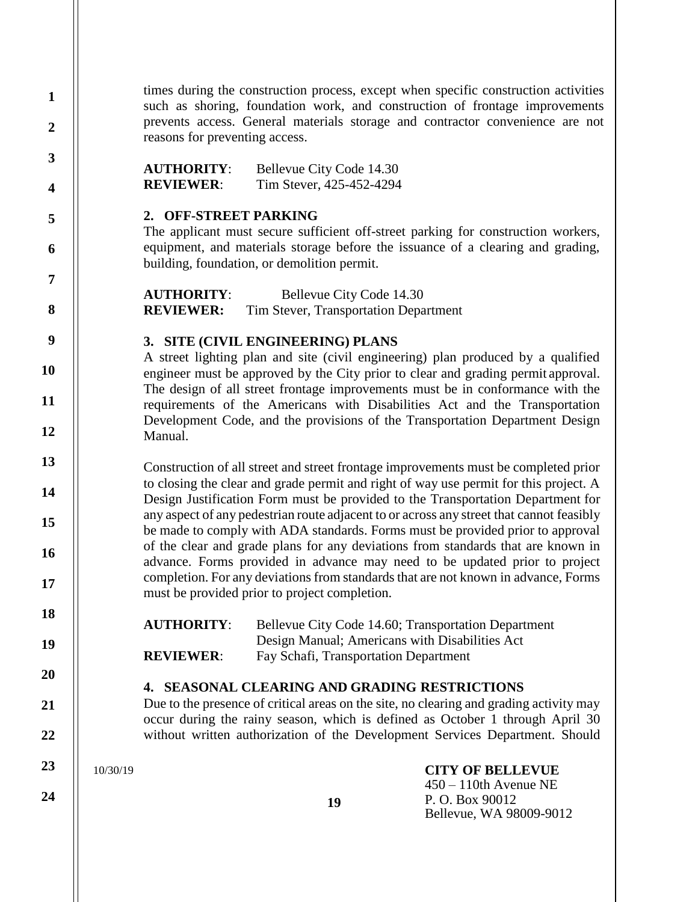times during the construction process, except when specific construction activities such as shoring, foundation work, and construction of frontage improvements prevents access. General materials storage and contractor convenience are not reasons for preventing access.

**AUTHORITY**: Bellevue City Code 14.30 **REVIEWER**: Tim Stever, 425-452-4294

#### **2. OFF-STREET PARKING**

The applicant must secure sufficient off-street parking for construction workers, equipment, and materials storage before the issuance of a clearing and grading, building, foundation, or demolition permit.

**AUTHORITY**: Bellevue City Code 14.30 **REVIEWER:** Tim Stever, Transportation Department

### **3. SITE (CIVIL ENGINEERING) PLANS**

A street lighting plan and site (civil engineering) plan produced by a qualified engineer must be approved by the City prior to clear and grading permit approval. The design of all street frontage improvements must be in conformance with the requirements of the Americans with Disabilities Act and the Transportation Development Code, and the provisions of the Transportation Department Design Manual.

Construction of all street and street frontage improvements must be completed prior to closing the clear and grade permit and right of way use permit for this project. A Design Justification Form must be provided to the Transportation Department for any aspect of any pedestrian route adjacent to or across any street that cannot feasibly be made to comply with ADA standards. Forms must be provided prior to approval of the clear and grade plans for any deviations from standards that are known in advance. Forms provided in advance may need to be updated prior to project completion. For any deviations from standards that are not known in advance, Forms must be provided prior to project completion.

**AUTHORITY**: Bellevue City Code 14.60; Transportation Department Design Manual; Americans with Disabilities Act **REVIEWER:** Fay Schafi, Transportation Department

#### **4. SEASONAL CLEARING AND GRADING RESTRICTIONS**

Due to the presence of critical areas on the site, no clearing and grading activity may occur during the rainy season, which is defined as October 1 through April 30 without written authorization of the Development Services Department. Should

10/30/19

**1**

**2**

**3**

**4**

**5**

**6**

**7**

**8**

**9**

**10**

**11**

**12**

**13**

**14**

**15**

**16**

**17**

**18**

**19**

**20**

**21**

**22**

**23**

**24**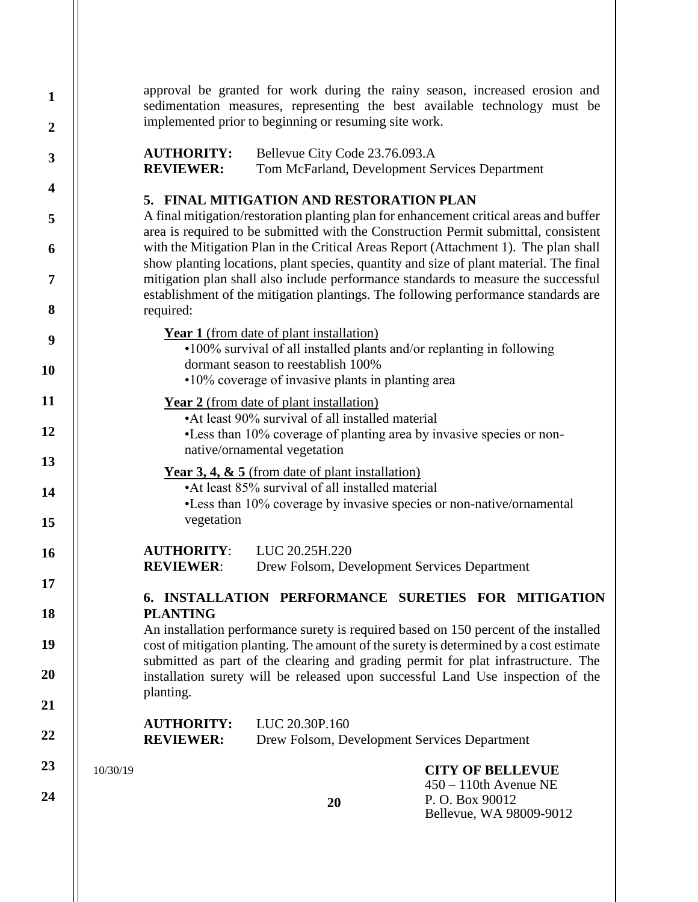| $\mathbf{1}$<br>$\boldsymbol{2}$ |                                                                                                         |                                                                                                                                                                      | implemented prior to beginning or resuming site work.                                               | approval be granted for work during the rainy season, increased erosion and<br>sedimentation measures, representing the best available technology must be                                                                                                          |  |  |  |
|----------------------------------|---------------------------------------------------------------------------------------------------------|----------------------------------------------------------------------------------------------------------------------------------------------------------------------|-----------------------------------------------------------------------------------------------------|--------------------------------------------------------------------------------------------------------------------------------------------------------------------------------------------------------------------------------------------------------------------|--|--|--|
| $\overline{\mathbf{3}}$          |                                                                                                         | <b>AUTHORITY:</b><br><b>REVIEWER:</b>                                                                                                                                | Bellevue City Code 23.76.093.A<br>Tom McFarland, Development Services Department                    |                                                                                                                                                                                                                                                                    |  |  |  |
| 4                                |                                                                                                         |                                                                                                                                                                      |                                                                                                     |                                                                                                                                                                                                                                                                    |  |  |  |
| 5                                |                                                                                                         |                                                                                                                                                                      | 5. FINAL MITIGATION AND RESTORATION PLAN                                                            | A final mitigation/restoration planting plan for enhancement critical areas and buffer<br>area is required to be submitted with the Construction Permit submittal, consistent                                                                                      |  |  |  |
| 6                                |                                                                                                         |                                                                                                                                                                      |                                                                                                     | with the Mitigation Plan in the Critical Areas Report (Attachment 1). The plan shall                                                                                                                                                                               |  |  |  |
| 7                                |                                                                                                         |                                                                                                                                                                      |                                                                                                     | show planting locations, plant species, quantity and size of plant material. The final<br>mitigation plan shall also include performance standards to measure the successful<br>establishment of the mitigation plantings. The following performance standards are |  |  |  |
| 8                                |                                                                                                         | required:                                                                                                                                                            |                                                                                                     |                                                                                                                                                                                                                                                                    |  |  |  |
| 9                                |                                                                                                         | <b>Year 1</b> (from date of plant installation)<br>•100% survival of all installed plants and/or replanting in following<br>dormant season to reestablish 100%       |                                                                                                     |                                                                                                                                                                                                                                                                    |  |  |  |
| <b>10</b>                        |                                                                                                         |                                                                                                                                                                      | •10% coverage of invasive plants in planting area                                                   |                                                                                                                                                                                                                                                                    |  |  |  |
| 11                               |                                                                                                         |                                                                                                                                                                      | <b>Year 2</b> (from date of plant installation)<br>•At least 90% survival of all installed material |                                                                                                                                                                                                                                                                    |  |  |  |
| 12                               |                                                                                                         |                                                                                                                                                                      |                                                                                                     | •Less than 10% coverage of planting area by invasive species or non-                                                                                                                                                                                               |  |  |  |
| 13                               |                                                                                                         |                                                                                                                                                                      | native/ornamental vegetation                                                                        |                                                                                                                                                                                                                                                                    |  |  |  |
| 14                               | Year 3, 4, $\&$ 5 (from date of plant installation)<br>•At least 85% survival of all installed material |                                                                                                                                                                      |                                                                                                     |                                                                                                                                                                                                                                                                    |  |  |  |
| 15                               |                                                                                                         | vegetation                                                                                                                                                           |                                                                                                     | •Less than 10% coverage by invasive species or non-native/ornamental                                                                                                                                                                                               |  |  |  |
| <b>16</b>                        |                                                                                                         | <b>AUTHORITY:</b>                                                                                                                                                    | LUC 20.25H.220                                                                                      |                                                                                                                                                                                                                                                                    |  |  |  |
| 17                               |                                                                                                         | <b>REVIEWER:</b>                                                                                                                                                     | Drew Folsom, Development Services Department                                                        |                                                                                                                                                                                                                                                                    |  |  |  |
| 18                               |                                                                                                         | <b>PLANTING</b>                                                                                                                                                      |                                                                                                     | 6. INSTALLATION PERFORMANCE SURETIES FOR MITIGATION<br>An installation performance surety is required based on 150 percent of the installed                                                                                                                        |  |  |  |
| 19                               |                                                                                                         |                                                                                                                                                                      |                                                                                                     | cost of mitigation planting. The amount of the surety is determined by a cost estimate                                                                                                                                                                             |  |  |  |
| <b>20</b>                        |                                                                                                         | submitted as part of the clearing and grading permit for plat infrastructure. The<br>installation surety will be released upon successful Land Use inspection of the |                                                                                                     |                                                                                                                                                                                                                                                                    |  |  |  |
| 21                               |                                                                                                         | planting.                                                                                                                                                            |                                                                                                     |                                                                                                                                                                                                                                                                    |  |  |  |
| 22                               |                                                                                                         | <b>AUTHORITY:</b><br><b>REVIEWER:</b>                                                                                                                                | LUC 20.30P.160<br>Drew Folsom, Development Services Department                                      |                                                                                                                                                                                                                                                                    |  |  |  |
| 23                               | 10/30/19                                                                                                |                                                                                                                                                                      |                                                                                                     | <b>CITY OF BELLEVUE</b>                                                                                                                                                                                                                                            |  |  |  |
| 24                               |                                                                                                         |                                                                                                                                                                      | 20                                                                                                  | $450 - 110$ th Avenue NE<br>P.O. Box 90012<br>Bellevue, WA 98009-9012                                                                                                                                                                                              |  |  |  |
|                                  |                                                                                                         |                                                                                                                                                                      |                                                                                                     |                                                                                                                                                                                                                                                                    |  |  |  |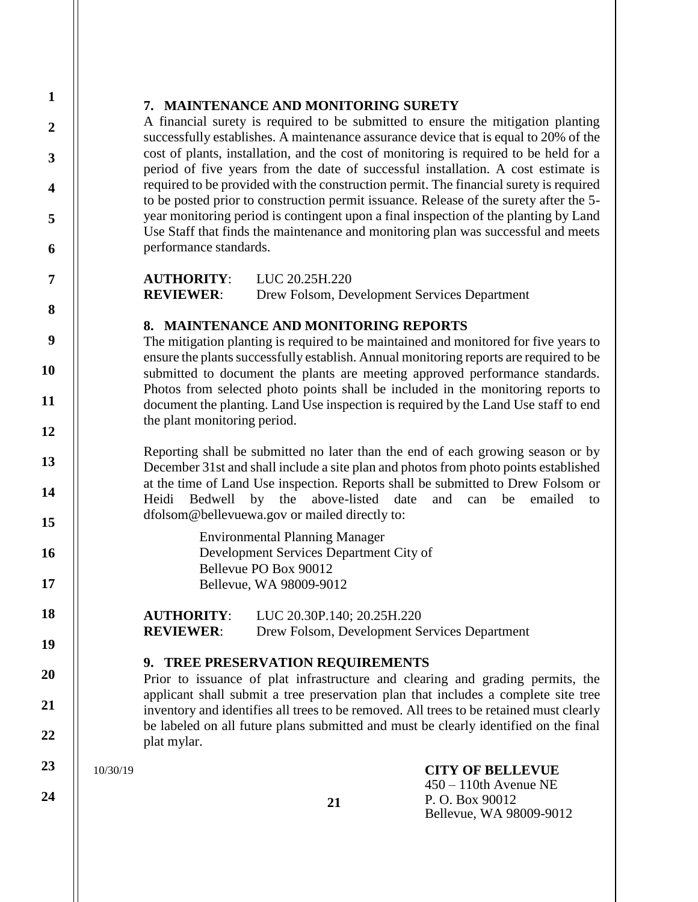## **7. MAINTENANCE AND MONITORING SURETY**

A financial surety is required to be submitted to ensure the mitigation planting successfully establishes. A maintenance assurance device that is equal to 20% of the cost of plants, installation, and the cost of monitoring is required to be held for a period of five years from the date of successful installation. A cost estimate is required to be provided with the construction permit. The financial surety is required to be posted prior to construction permit issuance. Release of the surety after the 5 year monitoring period is contingent upon a final inspection of the planting by Land Use Staff that finds the maintenance and monitoring plan was successful and meets performance standards.

**AUTHORITY**: LUC 20.25H.220 **REVIEWER**: Drew Folsom, Development Services Department

# **8. MAINTENANCE AND MONITORING REPORTS**

The mitigation planting is required to be maintained and monitored for five years to ensure the plants successfully establish. Annual monitoring reports are required to be submitted to document the plants are meeting approved performance standards. Photos from selected photo points shall be included in the monitoring reports to document the planting. Land Use inspection is required by the Land Use staff to end the plant monitoring period.

Reporting shall be submitted no later than the end of each growing season or by December 31st and shall include a site plan and photos from photo points established at the time of Land Use inspection. Reports shall be submitted to Drew Folsom or Heidi Bedwell by the above-listed date and can be emailed t[o](mailto:dfolsom@bellevuewa.gov) [dfolsom@bellevuewa.gov o](mailto:dfolsom@bellevuewa.gov)r mailed directly to:

> Environmental Planning Manager Development Services Department City of Bellevue PO Box 90012 Bellevue, WA 98009-9012

**AUTHORITY**: LUC 20.30P.140; 20.25H.220 **REVIEWER**: Drew Folsom, Development Services Department

**21**

## **9. TREE PRESERVATION REQUIREMENTS**

Prior to issuance of plat infrastructure and clearing and grading permits, the applicant shall submit a tree preservation plan that includes a complete site tree inventory and identifies all trees to be removed. All trees to be retained must clearly be labeled on all future plans submitted and must be clearly identified on the final plat mylar.

10/30/19

**CITY OF BELLEVUE** 450 – 110th Avenue NE P. O. Box 90012 Bellevue, WA 98009-9012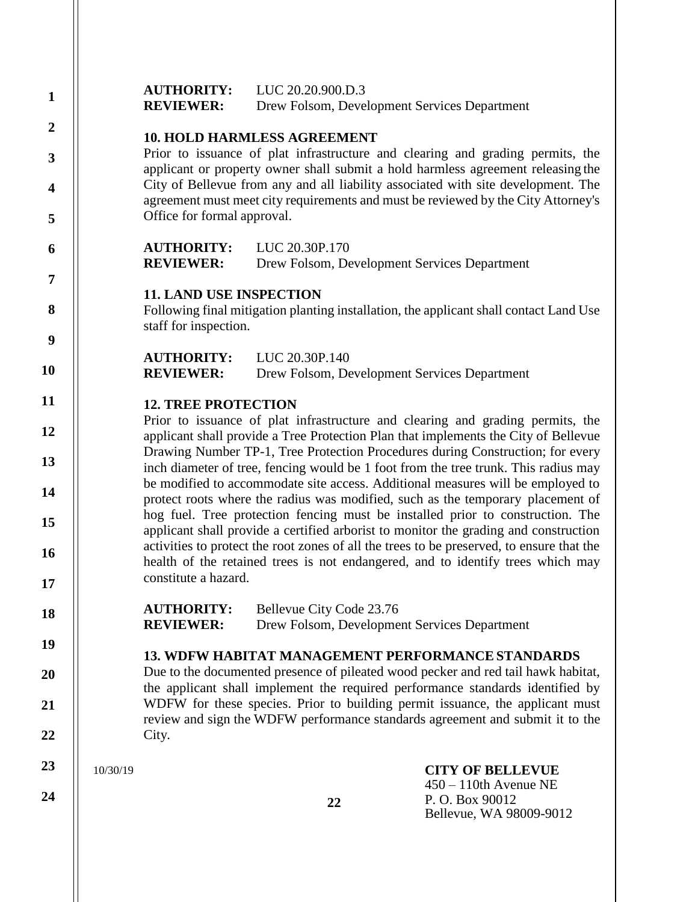| $\mathbf{1}$            |          | <b>AUTHORITY:</b>                                                                                                                                                                                                                                         | LUC 20.20.900.D.3                                                                                                                                                      |                                                                                                                                                                              |  |  |  |  |
|-------------------------|----------|-----------------------------------------------------------------------------------------------------------------------------------------------------------------------------------------------------------------------------------------------------------|------------------------------------------------------------------------------------------------------------------------------------------------------------------------|------------------------------------------------------------------------------------------------------------------------------------------------------------------------------|--|--|--|--|
| $\boldsymbol{2}$        |          | <b>REVIEWER:</b>                                                                                                                                                                                                                                          | Drew Folsom, Development Services Department                                                                                                                           |                                                                                                                                                                              |  |  |  |  |
|                         |          |                                                                                                                                                                                                                                                           | <b>10. HOLD HARMLESS AGREEMENT</b>                                                                                                                                     |                                                                                                                                                                              |  |  |  |  |
| 3                       |          |                                                                                                                                                                                                                                                           | Prior to issuance of plat infrastructure and clearing and grading permits, the<br>applicant or property owner shall submit a hold harmless agreement releasing the     |                                                                                                                                                                              |  |  |  |  |
| $\overline{\mathbf{4}}$ |          |                                                                                                                                                                                                                                                           | City of Bellevue from any and all liability associated with site development. The<br>agreement must meet city requirements and must be reviewed by the City Attorney's |                                                                                                                                                                              |  |  |  |  |
| 5                       |          | Office for formal approval.                                                                                                                                                                                                                               |                                                                                                                                                                        |                                                                                                                                                                              |  |  |  |  |
| 6                       |          | <b>AUTHORITY:</b><br><b>REVIEWER:</b>                                                                                                                                                                                                                     | LUC 20.30P.170<br>Drew Folsom, Development Services Department                                                                                                         |                                                                                                                                                                              |  |  |  |  |
| 7                       |          |                                                                                                                                                                                                                                                           |                                                                                                                                                                        |                                                                                                                                                                              |  |  |  |  |
| 8                       |          | <b>11. LAND USE INSPECTION</b><br>staff for inspection.                                                                                                                                                                                                   |                                                                                                                                                                        | Following final mitigation planting installation, the applicant shall contact Land Use                                                                                       |  |  |  |  |
| $\boldsymbol{9}$        |          |                                                                                                                                                                                                                                                           |                                                                                                                                                                        |                                                                                                                                                                              |  |  |  |  |
| <b>10</b>               |          | <b>AUTHORITY:</b><br><b>REVIEWER:</b>                                                                                                                                                                                                                     | LUC 20.30P.140<br>Drew Folsom, Development Services Department                                                                                                         |                                                                                                                                                                              |  |  |  |  |
| 11                      |          | <b>12. TREE PROTECTION</b>                                                                                                                                                                                                                                |                                                                                                                                                                        |                                                                                                                                                                              |  |  |  |  |
| 12                      |          |                                                                                                                                                                                                                                                           |                                                                                                                                                                        | Prior to issuance of plat infrastructure and clearing and grading permits, the<br>applicant shall provide a Tree Protection Plan that implements the City of Bellevue        |  |  |  |  |
| 13                      |          | Drawing Number TP-1, Tree Protection Procedures during Construction; for every                                                                                                                                                                            |                                                                                                                                                                        |                                                                                                                                                                              |  |  |  |  |
| 14                      |          | inch diameter of tree, fencing would be 1 foot from the tree trunk. This radius may<br>be modified to accommodate site access. Additional measures will be employed to<br>protect roots where the radius was modified, such as the temporary placement of |                                                                                                                                                                        |                                                                                                                                                                              |  |  |  |  |
| 15                      |          |                                                                                                                                                                                                                                                           |                                                                                                                                                                        | hog fuel. Tree protection fencing must be installed prior to construction. The<br>applicant shall provide a certified arborist to monitor the grading and construction       |  |  |  |  |
| 16                      |          |                                                                                                                                                                                                                                                           |                                                                                                                                                                        | activities to protect the root zones of all the trees to be preserved, to ensure that the<br>health of the retained trees is not endangered, and to identify trees which may |  |  |  |  |
| 17                      |          | constitute a hazard.                                                                                                                                                                                                                                      |                                                                                                                                                                        |                                                                                                                                                                              |  |  |  |  |
| 18                      |          | <b>AUTHORITY:</b><br><b>REVIEWER:</b>                                                                                                                                                                                                                     | Bellevue City Code 23.76<br>Drew Folsom, Development Services Department                                                                                               |                                                                                                                                                                              |  |  |  |  |
| 19                      |          |                                                                                                                                                                                                                                                           |                                                                                                                                                                        |                                                                                                                                                                              |  |  |  |  |
| 20                      |          |                                                                                                                                                                                                                                                           |                                                                                                                                                                        | <b>13. WDFW HABITAT MANAGEMENT PERFORMANCE STANDARDS</b><br>Due to the documented presence of pileated wood pecker and red tail hawk habitat,                                |  |  |  |  |
| 21                      |          | the applicant shall implement the required performance standards identified by<br>WDFW for these species. Prior to building permit issuance, the applicant must<br>review and sign the WDFW performance standards agreement and submit it to the          |                                                                                                                                                                        |                                                                                                                                                                              |  |  |  |  |
| 22                      |          | City.                                                                                                                                                                                                                                                     |                                                                                                                                                                        |                                                                                                                                                                              |  |  |  |  |
| 23                      | 10/30/19 |                                                                                                                                                                                                                                                           |                                                                                                                                                                        | <b>CITY OF BELLEVUE</b><br>$450 - 110$ th Avenue NE                                                                                                                          |  |  |  |  |
| 24                      |          |                                                                                                                                                                                                                                                           | 22                                                                                                                                                                     | P. O. Box 90012<br>Bellevue, WA 98009-9012                                                                                                                                   |  |  |  |  |

 $\mathsf{I}$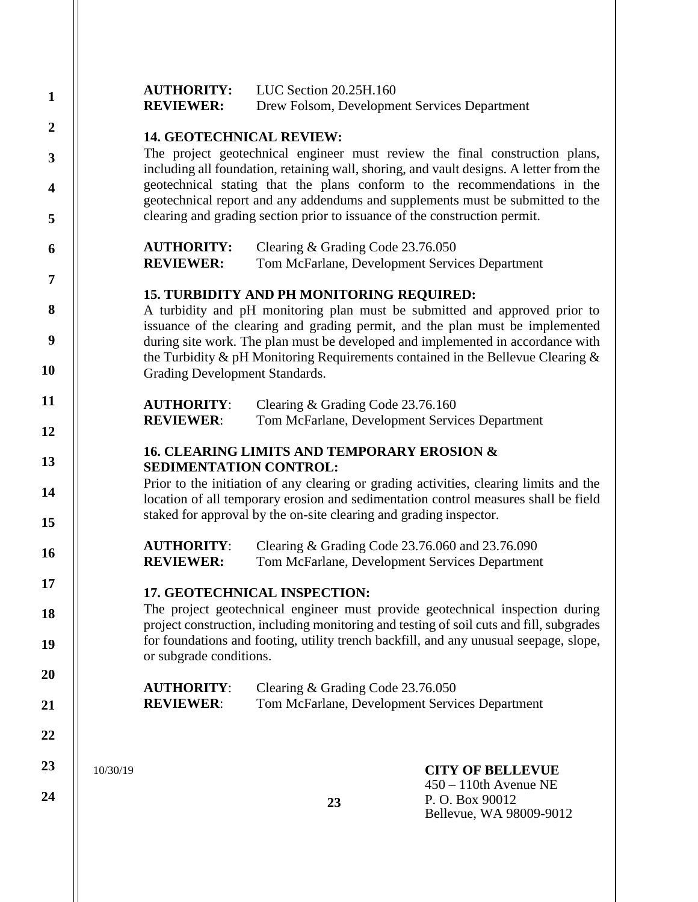| $\mathbf{1}$            |          | LUC Section 20.25H.160<br><b>AUTHORITY:</b><br><b>REVIEWER:</b><br>Drew Folsom, Development Services Department                                                                                                                                     |                                                                                                                                                                                                                                                        |                                                                                                                                                                       |  |  |  |  |
|-------------------------|----------|-----------------------------------------------------------------------------------------------------------------------------------------------------------------------------------------------------------------------------------------------------|--------------------------------------------------------------------------------------------------------------------------------------------------------------------------------------------------------------------------------------------------------|-----------------------------------------------------------------------------------------------------------------------------------------------------------------------|--|--|--|--|
| $\boldsymbol{2}$        |          | <b>14. GEOTECHNICAL REVIEW:</b>                                                                                                                                                                                                                     |                                                                                                                                                                                                                                                        |                                                                                                                                                                       |  |  |  |  |
| $\mathbf{3}$            |          |                                                                                                                                                                                                                                                     |                                                                                                                                                                                                                                                        | The project geotechnical engineer must review the final construction plans,                                                                                           |  |  |  |  |
| $\overline{\mathbf{4}}$ |          |                                                                                                                                                                                                                                                     | including all foundation, retaining wall, shoring, and vault designs. A letter from the<br>geotechnical stating that the plans conform to the recommendations in the<br>geotechnical report and any addendums and supplements must be submitted to the |                                                                                                                                                                       |  |  |  |  |
| 5                       |          |                                                                                                                                                                                                                                                     | clearing and grading section prior to issuance of the construction permit.                                                                                                                                                                             |                                                                                                                                                                       |  |  |  |  |
| 6                       |          | <b>AUTHORITY:</b><br><b>REVIEWER:</b>                                                                                                                                                                                                               | Clearing & Grading Code 23.76.050<br>Tom McFarlane, Development Services Department                                                                                                                                                                    |                                                                                                                                                                       |  |  |  |  |
| $\overline{7}$          |          |                                                                                                                                                                                                                                                     | <b>15. TURBIDITY AND PH MONITORING REQUIRED:</b>                                                                                                                                                                                                       |                                                                                                                                                                       |  |  |  |  |
| 8                       |          |                                                                                                                                                                                                                                                     |                                                                                                                                                                                                                                                        | A turbidity and pH monitoring plan must be submitted and approved prior to<br>issuance of the clearing and grading permit, and the plan must be implemented           |  |  |  |  |
| 9                       |          |                                                                                                                                                                                                                                                     |                                                                                                                                                                                                                                                        | during site work. The plan must be developed and implemented in accordance with<br>the Turbidity & pH Monitoring Requirements contained in the Bellevue Clearing $\&$ |  |  |  |  |
| 10                      |          | Grading Development Standards.                                                                                                                                                                                                                      |                                                                                                                                                                                                                                                        |                                                                                                                                                                       |  |  |  |  |
| 11                      |          | <b>AUTHORITY:</b><br><b>REVIEWER:</b>                                                                                                                                                                                                               | Clearing & Grading Code 23.76.160<br>Tom McFarlane, Development Services Department                                                                                                                                                                    |                                                                                                                                                                       |  |  |  |  |
| 12                      |          |                                                                                                                                                                                                                                                     |                                                                                                                                                                                                                                                        |                                                                                                                                                                       |  |  |  |  |
| 13                      |          | <b>16. CLEARING LIMITS AND TEMPORARY EROSION &amp;</b><br>SEDIMENTATION CONTROL:                                                                                                                                                                    |                                                                                                                                                                                                                                                        |                                                                                                                                                                       |  |  |  |  |
| 14<br>15                |          | Prior to the initiation of any clearing or grading activities, clearing limits and the<br>location of all temporary erosion and sedimentation control measures shall be field<br>staked for approval by the on-site clearing and grading inspector. |                                                                                                                                                                                                                                                        |                                                                                                                                                                       |  |  |  |  |
|                         |          | <b>AUTHORITY:</b>                                                                                                                                                                                                                                   | Clearing & Grading Code 23.76.060 and 23.76.090                                                                                                                                                                                                        |                                                                                                                                                                       |  |  |  |  |
| 16                      |          | <b>REVIEWER:</b>                                                                                                                                                                                                                                    | Tom McFarlane, Development Services Department                                                                                                                                                                                                         |                                                                                                                                                                       |  |  |  |  |
| 17                      |          |                                                                                                                                                                                                                                                     | <b>17. GEOTECHNICAL INSPECTION:</b>                                                                                                                                                                                                                    |                                                                                                                                                                       |  |  |  |  |
| 18                      |          |                                                                                                                                                                                                                                                     |                                                                                                                                                                                                                                                        | The project geotechnical engineer must provide geotechnical inspection during                                                                                         |  |  |  |  |
| 19                      |          |                                                                                                                                                                                                                                                     | project construction, including monitoring and testing of soil cuts and fill, subgrades<br>for foundations and footing, utility trench backfill, and any unusual seepage, slope,<br>or subgrade conditions.                                            |                                                                                                                                                                       |  |  |  |  |
| 20                      |          | <b>AUTHORITY:</b>                                                                                                                                                                                                                                   | Clearing & Grading Code 23.76.050                                                                                                                                                                                                                      |                                                                                                                                                                       |  |  |  |  |
| 21                      |          | <b>REVIEWER:</b>                                                                                                                                                                                                                                    | Tom McFarlane, Development Services Department                                                                                                                                                                                                         |                                                                                                                                                                       |  |  |  |  |
| 22                      |          |                                                                                                                                                                                                                                                     |                                                                                                                                                                                                                                                        |                                                                                                                                                                       |  |  |  |  |
| 23                      | 10/30/19 |                                                                                                                                                                                                                                                     |                                                                                                                                                                                                                                                        | <b>CITY OF BELLEVUE</b><br>$450 - 110$ th Avenue NE                                                                                                                   |  |  |  |  |
| 24                      |          |                                                                                                                                                                                                                                                     | 23                                                                                                                                                                                                                                                     | P.O. Box 90012<br>Bellevue, WA 98009-9012                                                                                                                             |  |  |  |  |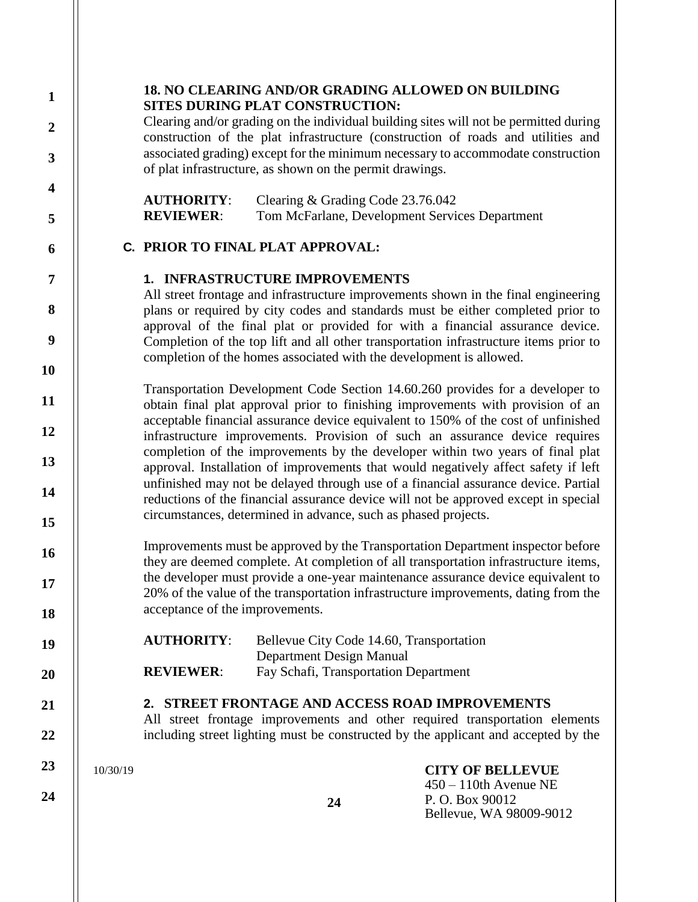# **18. NO CLEARING AND/OR GRADING ALLOWED ON BUILDING SITES DURING PLAT CONSTRUCTION:**

Clearing and/or grading on the individual building sites will not be permitted during construction of the plat infrastructure (construction of roads and utilities and associated grading) except for the minimum necessary to accommodate construction of plat infrastructure, as shown on the permit drawings.

**AUTHORITY**: Clearing & Grading Code 23.76.042 **REVIEWER**: Tom McFarlane, Development Services Department

# **C. PRIOR TO FINAL PLAT APPROVAL:**

# **1. INFRASTRUCTURE IMPROVEMENTS**

All street frontage and infrastructure improvements shown in the final engineering plans or required by city codes and standards must be either completed prior to approval of the final plat or provided for with a financial assurance device. Completion of the top lift and all other transportation infrastructure items prior to completion of the homes associated with the development is allowed.

Transportation Development Code Section 14.60.260 provides for a developer to obtain final plat approval prior to finishing improvements with provision of an acceptable financial assurance device equivalent to 150% of the cost of unfinished infrastructure improvements. Provision of such an assurance device requires completion of the improvements by the developer within two years of final plat approval. Installation of improvements that would negatively affect safety if left unfinished may not be delayed through use of a financial assurance device. Partial reductions of the financial assurance device will not be approved except in special circumstances, determined in advance, such as phased projects.

Improvements must be approved by the Transportation Department inspector before they are deemed complete. At completion of all transportation infrastructure items, the developer must provide a one-year maintenance assurance device equivalent to 20% of the value of the transportation infrastructure improvements, dating from the acceptance of the improvements.

| <b>AUTHORITY:</b> | Bellevue City Code 14.60, Transportation |
|-------------------|------------------------------------------|
|                   | Department Design Manual                 |
| <b>REVIEWER:</b>  | Fay Schafi, Transportation Department    |

# **2. STREET FRONTAGE AND ACCESS ROAD IMPROVEMENTS**

All street frontage improvements and other required transportation elements including street lighting must be constructed by the applicant and accepted by the

> **CITY OF BELLEVUE** 450 – 110th Avenue NE

Bellevue, WA 98009-9012

P. O. Box 90012

10/30/19

**1**

**2**

**3**

**4**

**5**

**6**

**7**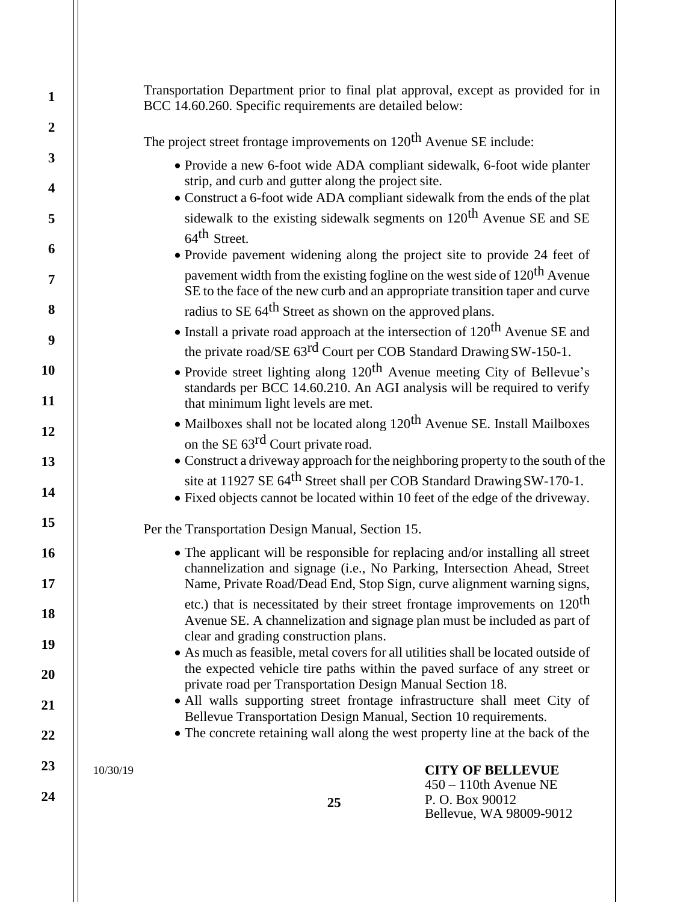| $\mathbf{1}$            | Transportation Department prior to final plat approval, except as provided for in<br>BCC 14.60.260. Specific requirements are detailed below:                                                        |
|-------------------------|------------------------------------------------------------------------------------------------------------------------------------------------------------------------------------------------------|
| $\overline{2}$          | The project street frontage improvements on 120 <sup>th</sup> Avenue SE include:                                                                                                                     |
| $\overline{\mathbf{3}}$ | • Provide a new 6-foot wide ADA compliant sidewalk, 6-foot wide planter                                                                                                                              |
| $\overline{\mathbf{4}}$ | strip, and curb and gutter along the project site.<br>• Construct a 6-foot wide ADA compliant sidewalk from the ends of the plat                                                                     |
| 5                       | sidewalk to the existing sidewalk segments on 120 <sup>th</sup> Avenue SE and SE<br>64 <sup>th</sup> Street.                                                                                         |
| 6                       | · Provide pavement widening along the project site to provide 24 feet of                                                                                                                             |
| 7                       | pavement width from the existing fogline on the west side of 120 <sup>th</sup> Avenue<br>SE to the face of the new curb and an appropriate transition taper and curve                                |
| 8                       | radius to SE 64 <sup>th</sup> Street as shown on the approved plans.                                                                                                                                 |
| 9                       | • Install a private road approach at the intersection of $120^{th}$ Avenue SE and                                                                                                                    |
|                         | the private road/SE 63 <sup>rd</sup> Court per COB Standard Drawing SW-150-1.                                                                                                                        |
| 10<br>11                | • Provide street lighting along 120 <sup>th</sup> Avenue meeting City of Bellevue's<br>standards per BCC 14.60.210. An AGI analysis will be required to verify<br>that minimum light levels are met. |
|                         | • Mailboxes shall not be located along 120 <sup>th</sup> Avenue SE. Install Mailboxes                                                                                                                |
| 12                      | on the SE 63 <sup>rd</sup> Court private road.                                                                                                                                                       |
| 13                      | • Construct a driveway approach for the neighboring property to the south of the                                                                                                                     |
| 14                      | site at 11927 SE 64 <sup>th</sup> Street shall per COB Standard Drawing SW-170-1.<br>• Fixed objects cannot be located within 10 feet of the edge of the driveway.                                   |
| 15                      | Per the Transportation Design Manual, Section 15.                                                                                                                                                    |
| <b>16</b>               | • The applicant will be responsible for replacing and/or installing all street<br>channelization and signage (i.e., No Parking, Intersection Ahead, Street                                           |
| 17                      | Name, Private Road/Dead End, Stop Sign, curve alignment warning signs,                                                                                                                               |
| 18                      | etc.) that is necessitated by their street frontage improvements on 120 <sup>th</sup><br>Avenue SE. A channelization and signage plan must be included as part of                                    |
| 19                      | clear and grading construction plans.<br>• As much as feasible, metal covers for all utilities shall be located outside of                                                                           |
| 20                      | the expected vehicle tire paths within the paved surface of any street or<br>private road per Transportation Design Manual Section 18.                                                               |
| 21                      | · All walls supporting street frontage infrastructure shall meet City of                                                                                                                             |
| 22                      | Bellevue Transportation Design Manual, Section 10 requirements.<br>• The concrete retaining wall along the west property line at the back of the                                                     |
| 23                      | 10/30/19<br><b>CITY OF BELLEVUE</b>                                                                                                                                                                  |
| 24                      | $450 - 110$ th Avenue NE<br>P.O. Box 90012<br>25<br>Bellevue, WA 98009-9012                                                                                                                          |
|                         |                                                                                                                                                                                                      |

Ш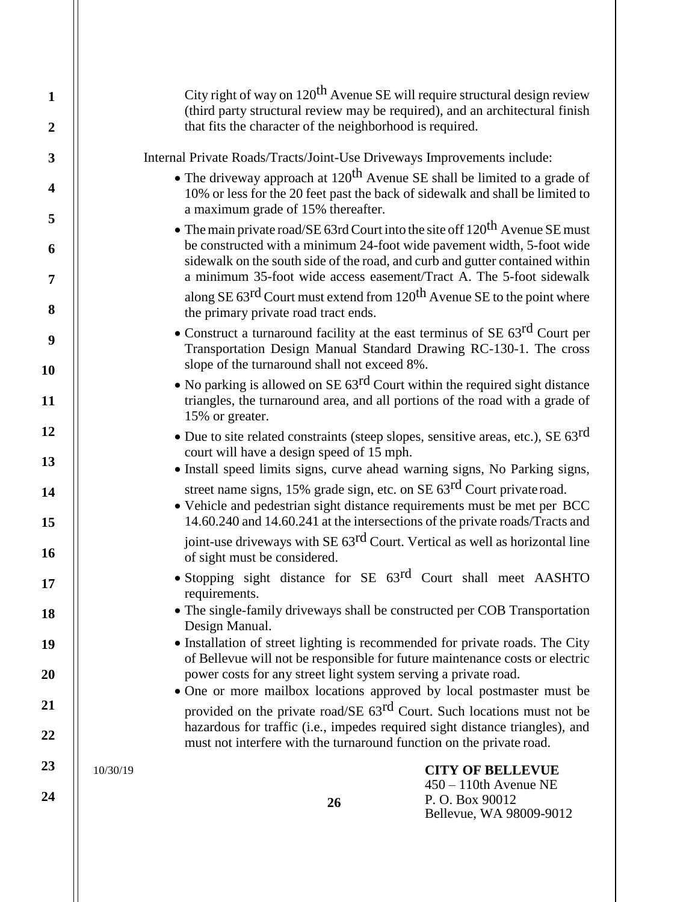|          | City right of way on $120^{th}$ Avenue SE will require structural design review<br>(third party structural review may be required), and an architectural finish<br>that fits the character of the neighborhood is required.                                                                                        |                                                                                                  |
|----------|--------------------------------------------------------------------------------------------------------------------------------------------------------------------------------------------------------------------------------------------------------------------------------------------------------------------|--------------------------------------------------------------------------------------------------|
|          | Internal Private Roads/Tracts/Joint-Use Driveways Improvements include:                                                                                                                                                                                                                                            |                                                                                                  |
|          | • The driveway approach at $120$ <sup>th</sup> Avenue SE shall be limited to a grade of<br>10% or less for the 20 feet past the back of sidewalk and shall be limited to<br>a maximum grade of 15% thereafter.                                                                                                     |                                                                                                  |
|          | • The main private road/SE 63rd Court into the site off $120^{th}$ Avenue SE must<br>be constructed with a minimum 24-foot wide pavement width, 5-foot wide<br>sidewalk on the south side of the road, and curb and gutter contained within<br>a minimum 35-foot wide access easement/Tract A. The 5-foot sidewalk |                                                                                                  |
|          | along SE 63 <sup>rd</sup> Court must extend from 120 <sup>th</sup> Avenue SE to the point where<br>the primary private road tract ends.                                                                                                                                                                            |                                                                                                  |
|          | • Construct a turnaround facility at the east terminus of SE $63$ <sup>rd</sup> Court per<br>Transportation Design Manual Standard Drawing RC-130-1. The cross<br>slope of the turnaround shall not exceed 8%.                                                                                                     |                                                                                                  |
|          | • No parking is allowed on SE $63^{rd}$ Court within the required sight distance<br>triangles, the turnaround area, and all portions of the road with a grade of<br>15% or greater.                                                                                                                                |                                                                                                  |
|          | • Due to site related constraints (steep slopes, sensitive areas, etc.), SE 63 <sup>rd</sup><br>court will have a design speed of 15 mph.<br>• Install speed limits signs, curve ahead warning signs, No Parking signs,                                                                                            |                                                                                                  |
|          | street name signs, 15% grade sign, etc. on SE 63 <sup>rd</sup> Court private road.<br>• Vehicle and pedestrian sight distance requirements must be met per BCC<br>14.60.240 and 14.60.241 at the intersections of the private roads/Tracts and                                                                     |                                                                                                  |
|          | joint-use driveways with SE 63 <sup>rd</sup> Court. Vertical as well as horizontal line<br>of sight must be considered.                                                                                                                                                                                            |                                                                                                  |
|          | • Stopping sight distance for SE 63 <sup>rd</sup> Court shall meet AASHTO<br>requirements.                                                                                                                                                                                                                         |                                                                                                  |
|          | • The single-family driveways shall be constructed per COB Transportation<br>Design Manual.                                                                                                                                                                                                                        |                                                                                                  |
|          | • Installation of street lighting is recommended for private roads. The City<br>of Bellevue will not be responsible for future maintenance costs or electric<br>power costs for any street light system serving a private road.<br>• One or more mailbox locations approved by local postmaster must be            |                                                                                                  |
|          | provided on the private road/SE 63 <sup>rd</sup> Court. Such locations must not be<br>hazardous for traffic (i.e., impedes required sight distance triangles), and<br>must not interfere with the turnaround function on the private road.                                                                         |                                                                                                  |
| 10/30/19 | 26                                                                                                                                                                                                                                                                                                                 | <b>CITY OF BELLEVUE</b><br>$450 - 110$ th Avenue NE<br>P.O. Box 90012<br>Bellevue, WA 98009-9012 |
|          |                                                                                                                                                                                                                                                                                                                    |                                                                                                  |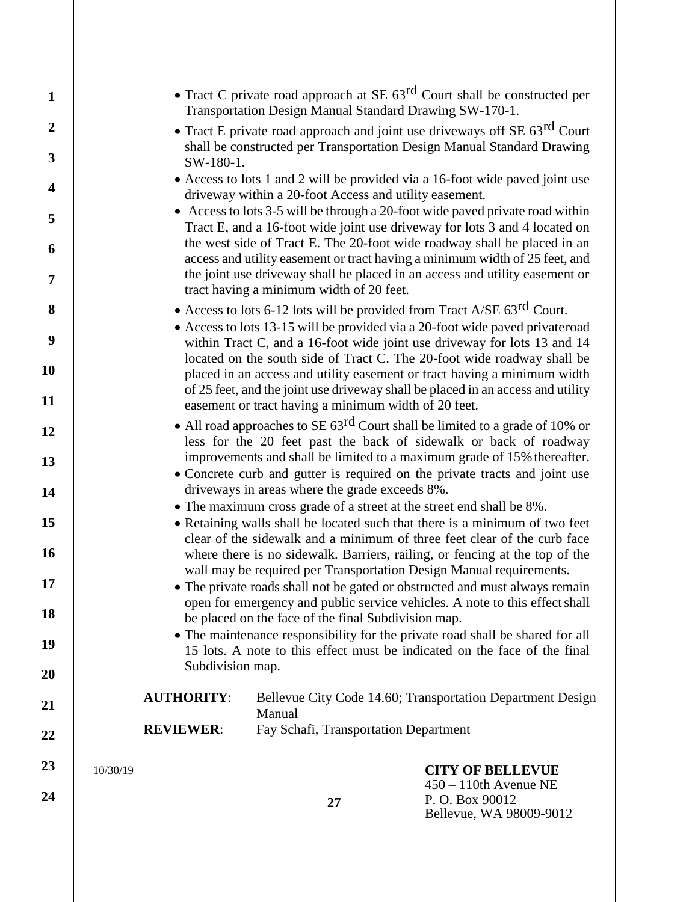| $\mathbf{1}$                              |          |                   | Transportation Design Manual Standard Drawing SW-170-1.                                                                | • Tract C private road approach at SE $63$ <sup>rd</sup> Court shall be constructed per                                                                                                                                             |
|-------------------------------------------|----------|-------------------|------------------------------------------------------------------------------------------------------------------------|-------------------------------------------------------------------------------------------------------------------------------------------------------------------------------------------------------------------------------------|
| $\overline{2}$<br>$\overline{\mathbf{3}}$ |          |                   |                                                                                                                        | • Tract E private road approach and joint use driveways off SE 63 <sup>rd</sup> Court<br>shall be constructed per Transportation Design Manual Standard Drawing                                                                     |
| $\overline{\mathbf{4}}$                   |          | SW-180-1.         |                                                                                                                        | • Access to lots 1 and 2 will be provided via a 16-foot wide paved joint use                                                                                                                                                        |
| 5                                         |          |                   | driveway within a 20-foot Access and utility easement.                                                                 | • Access to lots 3-5 will be through a 20-foot wide paved private road within                                                                                                                                                       |
| 6                                         |          |                   |                                                                                                                        | Tract E, and a 16-foot wide joint use driveway for lots 3 and 4 located on<br>the west side of Tract E. The 20-foot wide roadway shall be placed in an                                                                              |
| $\overline{7}$                            |          |                   | tract having a minimum width of 20 feet.                                                                               | access and utility easement or tract having a minimum width of 25 feet, and<br>the joint use driveway shall be placed in an access and utility easement or                                                                          |
| 8                                         |          |                   | • Access to lots 6-12 lots will be provided from Tract A/SE $63^{\text{rd}}$ Court.                                    |                                                                                                                                                                                                                                     |
| $\boldsymbol{9}$                          |          |                   |                                                                                                                        | • Access to lots 13-15 will be provided via a 20-foot wide paved privateroad<br>within Tract C, and a 16-foot wide joint use driveway for lots 13 and 14<br>located on the south side of Tract C. The 20-foot wide roadway shall be |
| 10                                        |          |                   |                                                                                                                        | placed in an access and utility easement or tract having a minimum width<br>of 25 feet, and the joint use driveway shall be placed in an access and utility                                                                         |
| 11                                        |          |                   | easement or tract having a minimum width of 20 feet.                                                                   |                                                                                                                                                                                                                                     |
| 12                                        |          |                   |                                                                                                                        | • All road approaches to SE $63$ <sup>rd</sup> Court shall be limited to a grade of 10% or<br>less for the 20 feet past the back of sidewalk or back of roadway                                                                     |
| 13                                        |          |                   |                                                                                                                        | improvements and shall be limited to a maximum grade of 15% thereafter.<br>• Concrete curb and gutter is required on the private tracts and joint use                                                                               |
| 14                                        |          |                   | driveways in areas where the grade exceeds 8%.<br>• The maximum cross grade of a street at the street end shall be 8%. |                                                                                                                                                                                                                                     |
| 15                                        |          |                   |                                                                                                                        | • Retaining walls shall be located such that there is a minimum of two feet<br>clear of the sidewalk and a minimum of three feet clear of the curb face                                                                             |
| 16                                        |          |                   | wall may be required per Transportation Design Manual requirements.                                                    | where there is no sidewalk. Barriers, railing, or fencing at the top of the                                                                                                                                                         |
| 17<br>18                                  |          |                   |                                                                                                                        | • The private roads shall not be gated or obstructed and must always remain<br>open for emergency and public service vehicles. A note to this effect shall                                                                          |
|                                           |          |                   | be placed on the face of the final Subdivision map.                                                                    | • The maintenance responsibility for the private road shall be shared for all                                                                                                                                                       |
| 19<br>20                                  |          | Subdivision map.  |                                                                                                                        | 15 lots. A note to this effect must be indicated on the face of the final                                                                                                                                                           |
| 21                                        |          | <b>AUTHORITY:</b> | Manual                                                                                                                 | Bellevue City Code 14.60; Transportation Department Design                                                                                                                                                                          |
| 22                                        |          | <b>REVIEWER:</b>  | Fay Schafi, Transportation Department                                                                                  |                                                                                                                                                                                                                                     |
| 23<br>24                                  | 10/30/19 |                   |                                                                                                                        | <b>CITY OF BELLEVUE</b><br>$450 - 110$ th Avenue NE<br>P.O. Box 90012                                                                                                                                                               |
|                                           |          |                   | 27                                                                                                                     | Bellevue, WA 98009-9012                                                                                                                                                                                                             |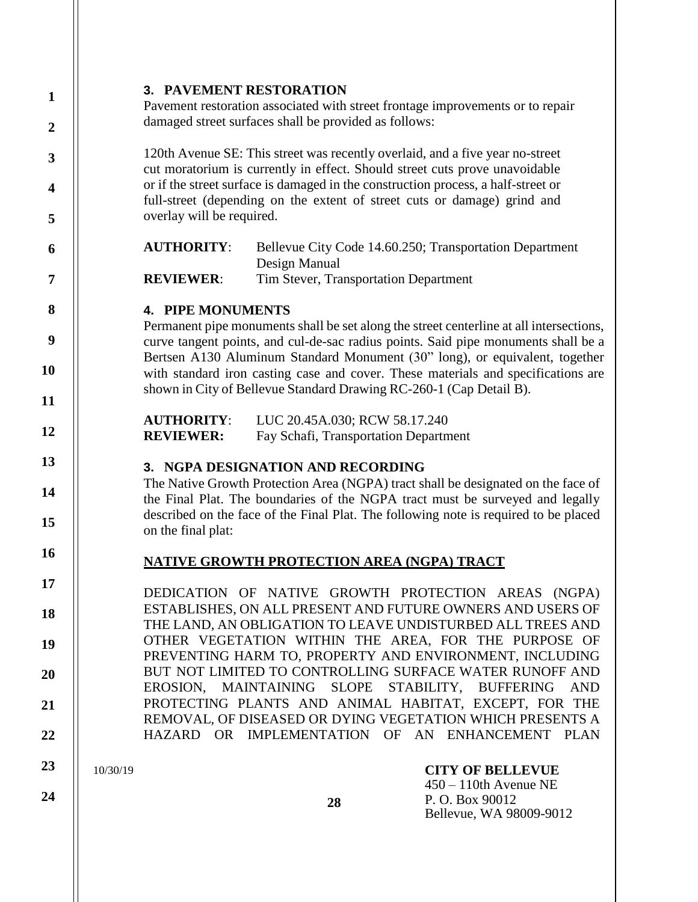## **3. PAVEMENT RESTORATION**

Pavement restoration associated with street frontage improvements or to repair damaged street surfaces shall be provided as follows:

120th Avenue SE: This street was recently overlaid, and a five year no-street cut moratorium is currently in effect. Should street cuts prove unavoidable or if the street surface is damaged in the construction process, a half-street or full-street (depending on the extent of street cuts or damage) grind and overlay will be required.

**AUTHORITY**: Bellevue City Code 14.60.250; Transportation Department Design Manual **REVIEWER:** Tim Stever, Transportation Department

### **4. PIPE MONUMENTS**

Permanent pipe monuments shall be set along the street centerline at all intersections, curve tangent points, and cul-de-sac radius points. Said pipe monuments shall be a Bertsen A130 Aluminum Standard Monument (30" long), or equivalent, together with standard iron casting case and cover. These materials and specifications are shown in City of Bellevue Standard Drawing RC-260-1 (Cap Detail B).

**AUTHORITY**: LUC 20.45A.030; RCW 58.17.240 **REVIEWER:** Fay Schafi, Transportation Department

## **3. NGPA DESIGNATION AND RECORDING**

The Native Growth Protection Area (NGPA) tract shall be designated on the face of the Final Plat. The boundaries of the NGPA tract must be surveyed and legally described on the face of the Final Plat. The following note is required to be placed on the final plat:

## **NATIVE GROWTH PROTECTION AREA (NGPA) TRACT**

DEDICATION OF NATIVE GROWTH PROTECTION AREAS (NGPA) ESTABLISHES, ON ALL PRESENT AND FUTURE OWNERS AND USERS OF THE LAND, AN OBLIGATION TO LEAVE UNDISTURBED ALL TREES AND OTHER VEGETATION WITHIN THE AREA, FOR THE PURPOSE OF PREVENTING HARM TO, PROPERTY AND ENVIRONMENT, INCLUDING BUT NOT LIMITED TO CONTROLLING SURFACE WATER RUNOFF AND EROSION, MAINTAINING SLOPE STABILITY, BUFFERING AND PROTECTING PLANTS AND ANIMAL HABITAT, EXCEPT, FOR THE REMOVAL, OF DISEASED OR DYING VEGETATION WHICH PRESENTS A HAZARD OR IMPLEMENTATION OF AN ENHANCEMENT PLAN

10/30/19

**24**

## **CITY OF BELLEVUE**

450 – 110th Avenue NE P. O. Box 90012 Bellevue, WA 98009-9012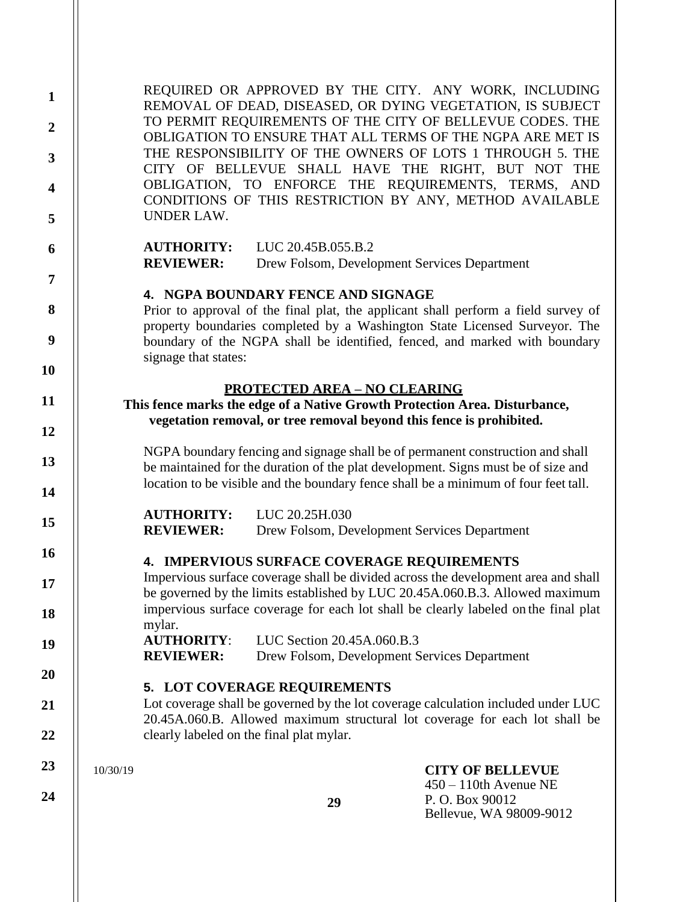10/30/19 **29 CITY OF BELLEVUE** 450 – 110th Avenue NE P. O. Box 90012 Bellevue, WA 98009-9012 REQUIRED OR APPROVED BY THE CITY. ANY WORK, INCLUDING REMOVAL OF DEAD, DISEASED, OR DYING VEGETATION, IS SUBJECT TO PERMIT REQUIREMENTS OF THE CITY OF BELLEVUE CODES. THE OBLIGATION TO ENSURE THAT ALL TERMS OF THE NGPA ARE MET IS THE RESPONSIBILITY OF THE OWNERS OF LOTS 1 THROUGH 5. THE CITY OF BELLEVUE SHALL HAVE THE RIGHT, BUT NOT THE OBLIGATION, TO ENFORCE THE REQUIREMENTS, TERMS, AND CONDITIONS OF THIS RESTRICTION BY ANY, METHOD AVAILABLE UNDER LAW. **AUTHORITY:** LUC 20.45B.055.B.2 **REVIEWER:** Drew Folsom, Development Services Department **4. NGPA BOUNDARY FENCE AND SIGNAGE** Prior to approval of the final plat, the applicant shall perform a field survey of property boundaries completed by a Washington State Licensed Surveyor. The boundary of the NGPA shall be identified, fenced, and marked with boundary signage that states: **PROTECTED AREA – NO CLEARING This fence marks the edge of a Native Growth Protection Area. Disturbance, vegetation removal, or tree removal beyond this fence is prohibited.** NGPA boundary fencing and signage shall be of permanent construction and shall be maintained for the duration of the plat development. Signs must be of size and location to be visible and the boundary fence shall be a minimum of four feet tall. **AUTHORITY:** LUC 20.25H.030 **REVIEWER:** Drew Folsom, Development Services Department **4. IMPERVIOUS SURFACE COVERAGE REQUIREMENTS** Impervious surface coverage shall be divided across the development area and shall be governed by the limits established by LUC 20.45A.060.B.3. Allowed maximum impervious surface coverage for each lot shall be clearly labeled on the final plat mylar. **AUTHORITY**: LUC Section 20.45A.060.B.3 **REVIEWER:** Drew Folsom, Development Services Department **5. LOT COVERAGE REQUIREMENTS** Lot coverage shall be governed by the lot coverage calculation included under LUC 20.45A.060.B. Allowed maximum structural lot coverage for each lot shall be clearly labeled on the final plat mylar.

**1**

**2**

**3**

**4**

**5**

**6**

**7**

**8**

**9**

**10**

**11**

**12**

**13**

**14**

**15**

**16**

**17**

**18**

**19**

**20**

**21**

**22**

**23**